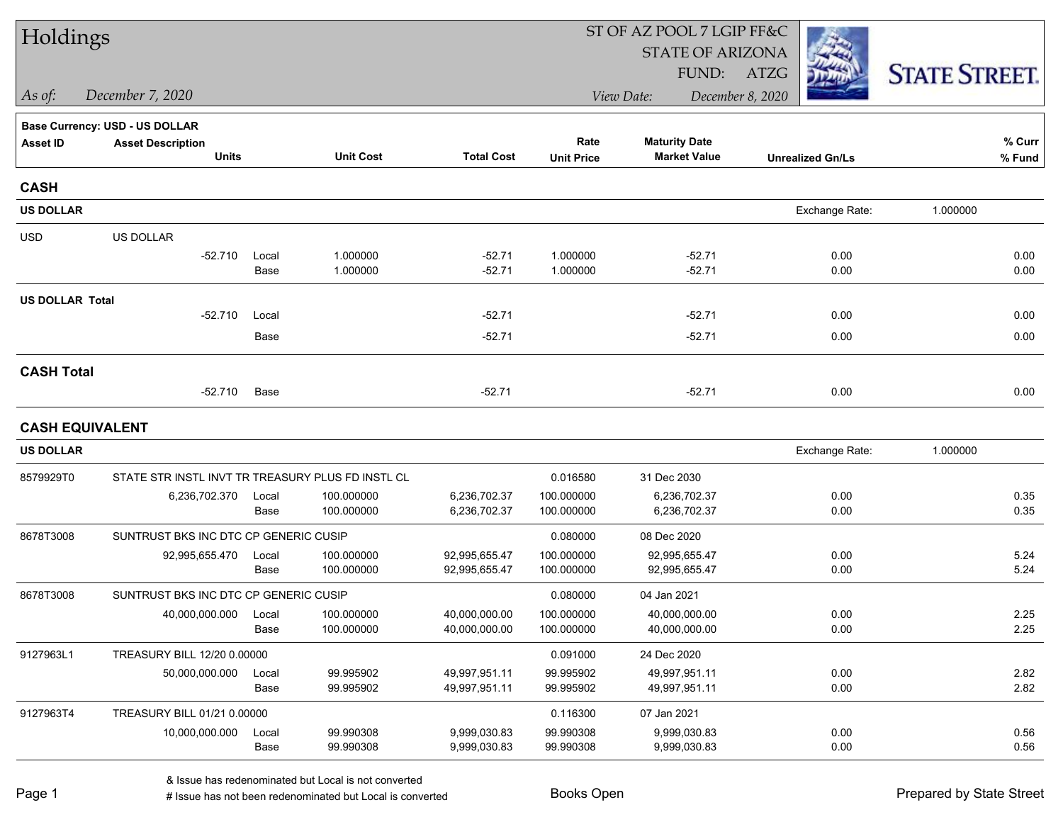| Holdings<br><b>STATE OF ARIZONA</b><br><b>STATE STREET.</b><br>FUND:<br>ATZG<br>December 7, 2020<br>December 8, 2020<br>As of:<br>View Date:<br><b>Base Currency: USD - US DOLLAR</b><br>Rate<br>% Curr<br><b>Maturity Date</b><br><b>Asset ID</b><br><b>Asset Description</b><br><b>Total Cost</b><br><b>Units</b><br><b>Unit Cost</b><br><b>Market Value</b><br><b>Unit Price</b><br><b>Unrealized Gn/Ls</b><br>% Fund |
|--------------------------------------------------------------------------------------------------------------------------------------------------------------------------------------------------------------------------------------------------------------------------------------------------------------------------------------------------------------------------------------------------------------------------|
|                                                                                                                                                                                                                                                                                                                                                                                                                          |
|                                                                                                                                                                                                                                                                                                                                                                                                                          |
|                                                                                                                                                                                                                                                                                                                                                                                                                          |
|                                                                                                                                                                                                                                                                                                                                                                                                                          |
|                                                                                                                                                                                                                                                                                                                                                                                                                          |
|                                                                                                                                                                                                                                                                                                                                                                                                                          |
| <b>CASH</b>                                                                                                                                                                                                                                                                                                                                                                                                              |
| <b>US DOLLAR</b><br>Exchange Rate:<br>1.000000                                                                                                                                                                                                                                                                                                                                                                           |
| <b>USD</b><br>US DOLLAR                                                                                                                                                                                                                                                                                                                                                                                                  |
| 1.000000<br>-52.710<br>Local<br>$-52.71$<br>1.000000<br>$-52.71$<br>0.00<br>0.00                                                                                                                                                                                                                                                                                                                                         |
| 1.000000<br>$-52.71$<br>1.000000<br>$-52.71$<br>0.00<br>0.00<br>Base                                                                                                                                                                                                                                                                                                                                                     |
| <b>US DOLLAR Total</b>                                                                                                                                                                                                                                                                                                                                                                                                   |
| $-52.71$<br>0.00<br>$-52.710$<br>$-52.71$<br>0.00<br>Local                                                                                                                                                                                                                                                                                                                                                               |
| Base<br>$-52.71$<br>$-52.71$<br>0.00<br>0.00                                                                                                                                                                                                                                                                                                                                                                             |
| <b>CASH Total</b>                                                                                                                                                                                                                                                                                                                                                                                                        |
| $-52.710$<br>$-52.71$<br>$-52.71$<br>0.00<br>0.00<br>Base                                                                                                                                                                                                                                                                                                                                                                |
| <b>CASH EQUIVALENT</b>                                                                                                                                                                                                                                                                                                                                                                                                   |
| <b>US DOLLAR</b><br>Exchange Rate:<br>1.000000                                                                                                                                                                                                                                                                                                                                                                           |
| STATE STR INSTL INVT TR TREASURY PLUS FD INSTL CL<br>0.016580<br>8579929T0<br>31 Dec 2030                                                                                                                                                                                                                                                                                                                                |
| 6,236,702.37<br>100.000000<br>6,236,702.37<br>0.00<br>0.35<br>6,236,702.370<br>100.000000<br>Local                                                                                                                                                                                                                                                                                                                       |
| 100.000000<br>6,236,702.37<br>100.000000<br>6,236,702.37<br>0.00<br>0.35<br>Base                                                                                                                                                                                                                                                                                                                                         |
| 8678T3008<br>SUNTRUST BKS INC DTC CP GENERIC CUSIP<br>0.080000<br>08 Dec 2020                                                                                                                                                                                                                                                                                                                                            |
| 100.000000<br>92,995,655.470<br>100.000000<br>92,995,655.47<br>92,995,655.47<br>0.00<br>5.24<br>Local                                                                                                                                                                                                                                                                                                                    |
| 100.000000<br>92,995,655.47<br>100.000000<br>92,995,655.47<br>0.00<br>5.24<br>Base                                                                                                                                                                                                                                                                                                                                       |
| 8678T3008<br>SUNTRUST BKS INC DTC CP GENERIC CUSIP<br>0.080000<br>04 Jan 2021                                                                                                                                                                                                                                                                                                                                            |
| 100.000000<br>40,000,000.00<br>40,000,000.00<br>0.00<br>2.25<br>40,000,000.000<br>100.000000<br>Local<br>2.25<br>100.000000<br>40,000,000.00<br>100.000000<br>40,000,000.00<br>0.00<br>Base                                                                                                                                                                                                                              |
|                                                                                                                                                                                                                                                                                                                                                                                                                          |
| 9127963L1<br>0.091000<br>TREASURY BILL 12/20 0.00000<br>24 Dec 2020                                                                                                                                                                                                                                                                                                                                                      |
| 0.00<br>99.995902<br>49,997,951.11<br>99.995902<br>49,997,951.11<br>2.82<br>50,000,000.000<br>Local<br>0.00<br>2.82<br>Base<br>99.995902<br>49,997,951.11<br>99.995902<br>49,997,951.11                                                                                                                                                                                                                                  |
| 9127963T4<br>TREASURY BILL 01/21 0.00000<br>0.116300<br>07 Jan 2021                                                                                                                                                                                                                                                                                                                                                      |
| 99.990308<br>10,000,000.000<br>9,999,030.83<br>99.990308<br>9,999,030.83<br>0.00<br>0.56<br>Local                                                                                                                                                                                                                                                                                                                        |
| 99.990308<br>9,999,030.83<br>99.990308<br>9,999,030.83<br>0.00<br>0.56<br>Base                                                                                                                                                                                                                                                                                                                                           |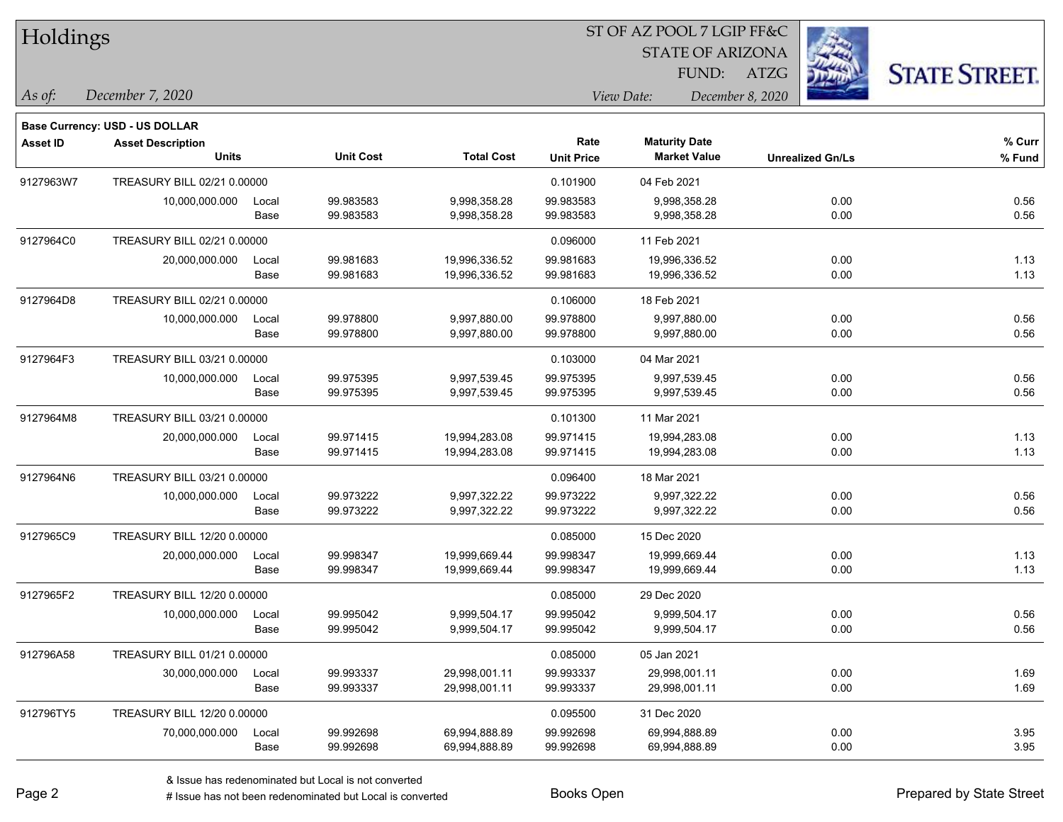| Holdings        |                                       |       |                  |                   |                   | 51 OF AZ POOL 7 LGIP FF&C |                         |                      |
|-----------------|---------------------------------------|-------|------------------|-------------------|-------------------|---------------------------|-------------------------|----------------------|
|                 |                                       |       |                  |                   |                   | <b>STATE OF ARIZONA</b>   |                         |                      |
|                 |                                       |       |                  |                   |                   | FUND:                     | ATZG                    | <b>STATE STREET.</b> |
| As of:          | December 7, 2020                      |       |                  |                   |                   | View Date:                | December 8, 2020        |                      |
|                 | <b>Base Currency: USD - US DOLLAR</b> |       |                  |                   |                   |                           |                         |                      |
| <b>Asset ID</b> | <b>Asset Description</b>              |       |                  |                   | Rate              | <b>Maturity Date</b>      |                         | % Curr               |
|                 | <b>Units</b>                          |       | <b>Unit Cost</b> | <b>Total Cost</b> | <b>Unit Price</b> | <b>Market Value</b>       | <b>Unrealized Gn/Ls</b> | % Fund               |
| 9127963W7       | TREASURY BILL 02/21 0.00000           |       |                  |                   | 0.101900          | 04 Feb 2021               |                         |                      |
|                 | 10,000,000.000                        | Local | 99.983583        | 9,998,358.28      | 99.983583         | 9,998,358.28              | 0.00                    | 0.56                 |
|                 |                                       | Base  | 99.983583        | 9,998,358.28      | 99.983583         | 9,998,358.28              | 0.00                    | 0.56                 |
| 9127964C0       | TREASURY BILL 02/21 0.00000           |       |                  |                   | 0.096000          | 11 Feb 2021               |                         |                      |
|                 | 20,000,000.000                        | Local | 99.981683        | 19,996,336.52     | 99.981683         | 19,996,336.52             | 0.00                    | 1.13                 |
|                 |                                       | Base  | 99.981683        | 19,996,336.52     | 99.981683         | 19,996,336.52             | 0.00                    | 1.13                 |
| 9127964D8       | TREASURY BILL 02/21 0.00000           |       |                  |                   | 0.106000          | 18 Feb 2021               |                         |                      |
|                 | 10,000,000.000                        | Local | 99.978800        | 9,997,880.00      | 99.978800         | 9,997,880.00              | 0.00                    | 0.56                 |
|                 |                                       | Base  | 99.978800        | 9,997,880.00      | 99.978800         | 9,997,880.00              | 0.00                    | 0.56                 |
| 9127964F3       | TREASURY BILL 03/21 0.00000           |       |                  |                   | 0.103000          | 04 Mar 2021               |                         |                      |
|                 | 10,000,000.000                        | Local | 99.975395        | 9,997,539.45      | 99.975395         | 9,997,539.45              | 0.00                    | 0.56                 |
|                 |                                       | Base  | 99.975395        | 9,997,539.45      | 99.975395         | 9,997,539.45              | 0.00                    | 0.56                 |
| 9127964M8       | TREASURY BILL 03/21 0.00000           |       |                  |                   | 0.101300          | 11 Mar 2021               |                         |                      |
|                 | 20,000,000.000                        | Local | 99.971415        | 19,994,283.08     | 99.971415         | 19,994,283.08             | 0.00                    | 1.13                 |
|                 |                                       | Base  | 99.971415        | 19,994,283.08     | 99.971415         | 19,994,283.08             | 0.00                    | 1.13                 |
| 9127964N6       | TREASURY BILL 03/21 0.00000           |       |                  |                   | 0.096400          | 18 Mar 2021               |                         |                      |
|                 | 10,000,000.000                        | Local | 99.973222        | 9,997,322.22      | 99.973222         | 9,997,322.22              | 0.00                    | 0.56                 |
|                 |                                       | Base  | 99.973222        | 9,997,322.22      | 99.973222         | 9,997,322.22              | 0.00                    | 0.56                 |
| 9127965C9       | TREASURY BILL 12/20 0.00000           |       |                  |                   | 0.085000          | 15 Dec 2020               |                         |                      |
|                 | 20,000,000.000                        | Local | 99.998347        | 19,999,669.44     | 99.998347         | 19,999,669.44             | 0.00                    | 1.13                 |
|                 |                                       | Base  | 99.998347        | 19,999,669.44     | 99.998347         | 19,999,669.44             | 0.00                    | 1.13                 |
| 9127965F2       | TREASURY BILL 12/20 0.00000           |       |                  |                   | 0.085000          | 29 Dec 2020               |                         |                      |
|                 | 10,000,000.000                        | Local | 99.995042        | 9,999,504.17      | 99.995042         | 9,999,504.17              | 0.00                    | 0.56                 |
|                 |                                       | Base  | 99.995042        | 9,999,504.17      | 99.995042         | 9,999,504.17              | 0.00                    | 0.56                 |
| 912796A58       | TREASURY BILL 01/21 0.00000           |       |                  |                   | 0.085000          | 05 Jan 2021               |                         |                      |
|                 | 30,000,000.000                        | Local | 99.993337        | 29,998,001.11     | 99.993337         | 29,998,001.11             | 0.00                    | 1.69                 |
|                 |                                       | Base  | 99.993337        | 29,998,001.11     | 99.993337         | 29,998,001.11             | 0.00                    | 1.69                 |
| 912796TY5       | TREASURY BILL 12/20 0.00000           |       |                  |                   | 0.095500          | 31 Dec 2020               |                         |                      |
|                 | 70,000,000.000                        | Local | 99.992698        | 69,994,888.89     | 99.992698         | 69,994,888.89             | 0.00                    | 3.95                 |
|                 |                                       | Base  | 99.992698        | 69,994,888.89     | 99.992698         | 69,994,888.89             | 0.00                    | 3.95                 |

 $ST$  OF AZ POOL 7 LCIP FF&C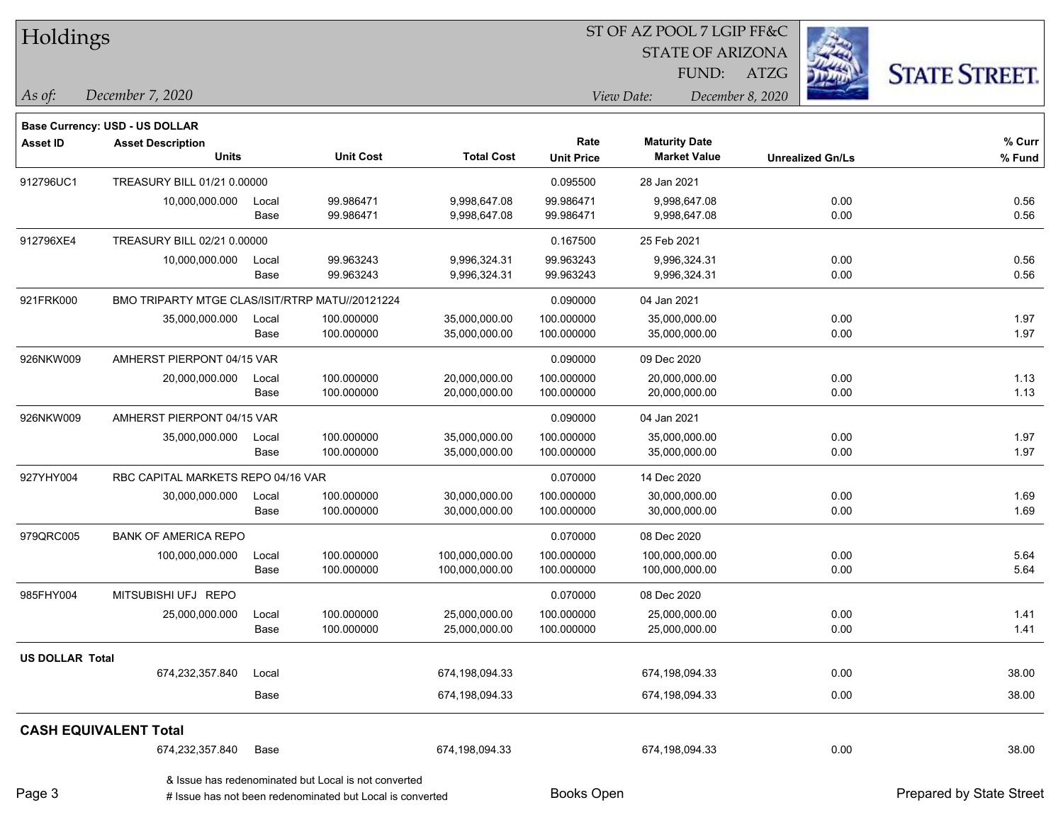| Holdings               |                                                 |       |                                                                                                                   |                   |                   | ST OF AZ POOL 7 LGIP FF&C      |                         |                          |
|------------------------|-------------------------------------------------|-------|-------------------------------------------------------------------------------------------------------------------|-------------------|-------------------|--------------------------------|-------------------------|--------------------------|
|                        |                                                 |       |                                                                                                                   |                   |                   | <b>STATE OF ARIZONA</b>        |                         |                          |
|                        |                                                 |       |                                                                                                                   |                   |                   | FUND:                          | <b>ATZG</b>             | <b>STATE STREET.</b>     |
| As of:                 | December 7, 2020                                |       |                                                                                                                   |                   |                   | View Date:<br>December 8, 2020 |                         |                          |
|                        | Base Currency: USD - US DOLLAR                  |       |                                                                                                                   |                   |                   |                                |                         |                          |
| <b>Asset ID</b>        | <b>Asset Description</b>                        |       |                                                                                                                   |                   | Rate              | <b>Maturity Date</b>           |                         | % Curr                   |
|                        | <b>Units</b>                                    |       | <b>Unit Cost</b>                                                                                                  | <b>Total Cost</b> | <b>Unit Price</b> | <b>Market Value</b>            | <b>Unrealized Gn/Ls</b> | % Fund                   |
| 912796UC1              | TREASURY BILL 01/21 0.00000                     |       |                                                                                                                   |                   | 0.095500          | 28 Jan 2021                    |                         |                          |
|                        | 10,000,000.000                                  | Local | 99.986471                                                                                                         | 9,998,647.08      | 99.986471         | 9,998,647.08                   | 0.00                    | 0.56                     |
|                        |                                                 | Base  | 99.986471                                                                                                         | 9,998,647.08      | 99.986471         | 9,998,647.08                   | 0.00                    | 0.56                     |
| 912796XE4              | TREASURY BILL 02/21 0.00000                     |       |                                                                                                                   |                   | 0.167500          | 25 Feb 2021                    |                         |                          |
|                        | 10,000,000.000                                  | Local | 99.963243                                                                                                         | 9,996,324.31      | 99.963243         | 9,996,324.31                   | 0.00                    | 0.56                     |
|                        |                                                 | Base  | 99.963243                                                                                                         | 9,996,324.31      | 99.963243         | 9,996,324.31                   | 0.00                    | 0.56                     |
| 921FRK000              | BMO TRIPARTY MTGE CLAS/ISIT/RTRP MATU//20121224 |       |                                                                                                                   |                   | 0.090000          | 04 Jan 2021                    |                         |                          |
|                        | 35,000,000.000                                  | Local | 100.000000                                                                                                        | 35,000,000.00     | 100.000000        | 35,000,000.00                  | 0.00                    | 1.97                     |
|                        |                                                 | Base  | 100.000000                                                                                                        | 35,000,000.00     | 100.000000        | 35,000,000.00                  | 0.00                    | 1.97                     |
| 926NKW009              | AMHERST PIERPONT 04/15 VAR                      |       |                                                                                                                   |                   | 0.090000          | 09 Dec 2020                    |                         |                          |
|                        | 20,000,000.000                                  | Local | 100.000000                                                                                                        | 20,000,000.00     | 100.000000        | 20,000,000.00                  | 0.00                    | 1.13                     |
|                        |                                                 | Base  | 100.000000                                                                                                        | 20,000,000.00     | 100.000000        | 20,000,000.00                  | 0.00                    | 1.13                     |
| 926NKW009              | AMHERST PIERPONT 04/15 VAR                      |       |                                                                                                                   |                   | 0.090000          | 04 Jan 2021                    |                         |                          |
|                        | 35,000,000.000                                  | Local | 100.000000                                                                                                        | 35,000,000.00     | 100.000000        | 35,000,000.00                  | 0.00                    | 1.97                     |
|                        |                                                 | Base  | 100.000000                                                                                                        | 35,000,000.00     | 100.000000        | 35,000,000.00                  | 0.00                    | 1.97                     |
| 927YHY004              | RBC CAPITAL MARKETS REPO 04/16 VAR              |       |                                                                                                                   |                   | 0.070000          | 14 Dec 2020                    |                         |                          |
|                        | 30,000,000.000                                  | Local | 100.000000                                                                                                        | 30,000,000.00     | 100.000000        | 30,000,000.00                  | 0.00                    | 1.69                     |
|                        |                                                 | Base  | 100.000000                                                                                                        | 30,000,000.00     | 100.000000        | 30,000,000.00                  | 0.00                    | 1.69                     |
| 979QRC005              | <b>BANK OF AMERICA REPO</b>                     |       |                                                                                                                   |                   | 0.070000          | 08 Dec 2020                    |                         |                          |
|                        | 100,000,000.000                                 | Local | 100.000000                                                                                                        | 100,000,000.00    | 100.000000        | 100,000,000.00                 | 0.00                    | 5.64                     |
|                        |                                                 | Base  | 100.000000                                                                                                        | 100,000,000.00    | 100.000000        | 100,000,000.00                 | 0.00                    | 5.64                     |
| 985FHY004              | MITSUBISHI UFJ REPO                             |       |                                                                                                                   |                   | 0.070000          | 08 Dec 2020                    |                         |                          |
|                        | 25,000,000.000                                  | Local | 100.000000                                                                                                        | 25,000,000.00     | 100.000000        | 25,000,000.00                  | 0.00                    | 1.41                     |
|                        |                                                 | Base  | 100.000000                                                                                                        | 25,000,000.00     | 100.000000        | 25,000,000.00                  | 0.00                    | 1.41                     |
| <b>US DOLLAR Total</b> |                                                 |       |                                                                                                                   |                   |                   |                                |                         |                          |
|                        | 674,232,357.840                                 | Local |                                                                                                                   | 674,198,094.33    |                   | 674,198,094.33                 | 0.00                    | 38.00                    |
|                        |                                                 | Base  |                                                                                                                   | 674,198,094.33    |                   | 674,198,094.33                 | 0.00                    | 38.00                    |
|                        | <b>CASH EQUIVALENT Total</b>                    |       |                                                                                                                   |                   |                   |                                |                         |                          |
|                        | 674,232,357.840                                 | Base  |                                                                                                                   | 674,198,094.33    |                   | 674,198,094.33                 | 0.00                    | 38.00                    |
| Page 3                 |                                                 |       | & Issue has redenominated but Local is not converted<br># Issue has not been redenominated but Local is converted |                   | <b>Books Open</b> |                                |                         | Prepared by State Street |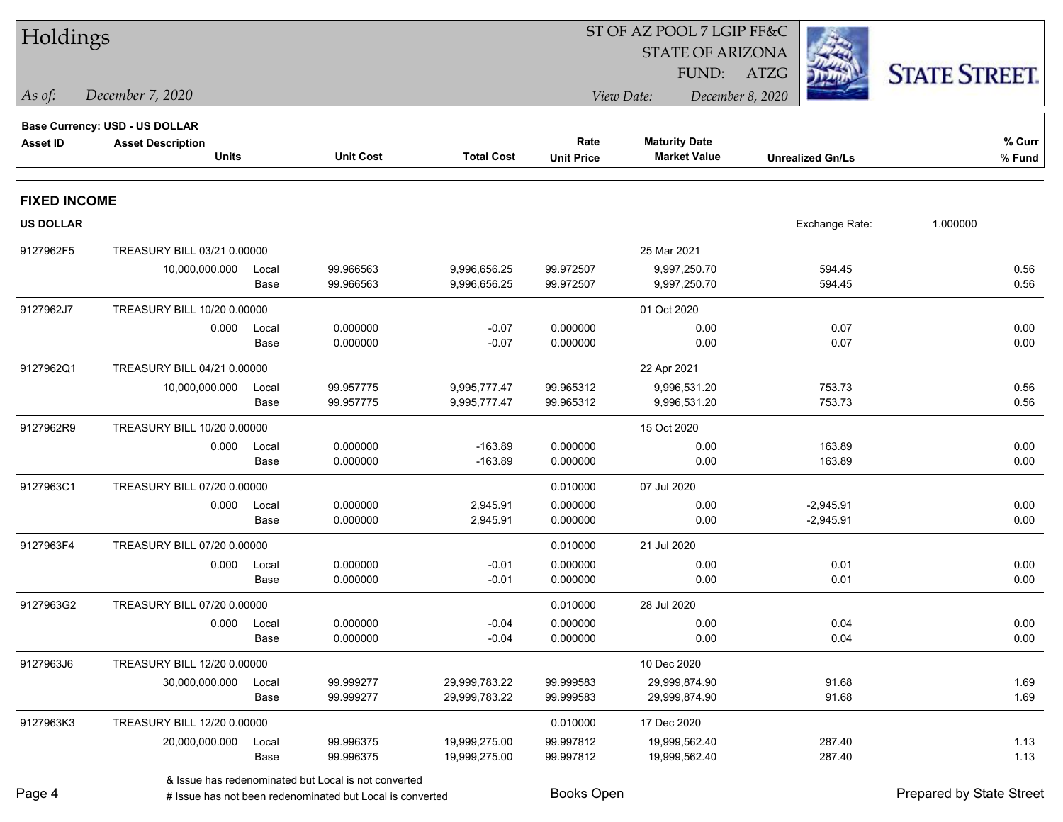| Holdings            |                                |             |                                                           |                   |                                |                         |                         |                          |  |
|---------------------|--------------------------------|-------------|-----------------------------------------------------------|-------------------|--------------------------------|-------------------------|-------------------------|--------------------------|--|
|                     |                                |             |                                                           |                   |                                | <b>STATE OF ARIZONA</b> |                         |                          |  |
|                     |                                |             |                                                           |                   |                                | FUND:                   | ATZG                    | <b>STATE STREET.</b>     |  |
| As of:              | December 7, 2020               |             |                                                           |                   | View Date:<br>December 8, 2020 |                         |                         |                          |  |
|                     | Base Currency: USD - US DOLLAR |             |                                                           |                   |                                |                         |                         |                          |  |
| <b>Asset ID</b>     | <b>Asset Description</b>       |             |                                                           |                   | Rate                           | <b>Maturity Date</b>    |                         | % Curr                   |  |
|                     | <b>Units</b>                   |             | <b>Unit Cost</b>                                          | <b>Total Cost</b> | <b>Unit Price</b>              | <b>Market Value</b>     | <b>Unrealized Gn/Ls</b> | % Fund                   |  |
| <b>FIXED INCOME</b> |                                |             |                                                           |                   |                                |                         |                         |                          |  |
| <b>US DOLLAR</b>    |                                |             |                                                           |                   |                                |                         | Exchange Rate:          | 1.000000                 |  |
| 9127962F5           | TREASURY BILL 03/21 0.00000    |             |                                                           |                   |                                | 25 Mar 2021             |                         |                          |  |
|                     | 10,000,000.000                 | Local       | 99.966563                                                 | 9,996,656.25      | 99.972507                      | 9,997,250.70            | 594.45                  | 0.56                     |  |
|                     |                                | Base        | 99.966563                                                 | 9,996,656.25      | 99.972507                      | 9,997,250.70            | 594.45                  | 0.56                     |  |
| 9127962J7           | TREASURY BILL 10/20 0.00000    |             |                                                           |                   |                                | 01 Oct 2020             |                         |                          |  |
|                     | 0.000                          | Local       | 0.000000                                                  | $-0.07$           | 0.000000                       | 0.00                    | 0.07                    | 0.00                     |  |
|                     |                                | Base        | 0.000000                                                  | $-0.07$           | 0.000000                       | 0.00                    | 0.07                    | 0.00                     |  |
| 9127962Q1           | TREASURY BILL 04/21 0.00000    |             |                                                           |                   |                                | 22 Apr 2021             |                         |                          |  |
|                     | 10,000,000.000                 | Local       | 99.957775                                                 | 9,995,777.47      | 99.965312                      | 9,996,531.20            | 753.73                  | 0.56                     |  |
|                     |                                | Base        | 99.957775                                                 | 9,995,777.47      | 99.965312                      | 9,996,531.20            | 753.73                  | 0.56                     |  |
| 9127962R9           | TREASURY BILL 10/20 0.00000    |             |                                                           |                   |                                | 15 Oct 2020             |                         |                          |  |
|                     | 0.000                          | Local       | 0.000000                                                  | $-163.89$         | 0.000000                       | 0.00                    | 163.89                  | 0.00                     |  |
|                     |                                | Base        | 0.000000                                                  | $-163.89$         | 0.000000                       | 0.00                    | 163.89                  | 0.00                     |  |
| 9127963C1           | TREASURY BILL 07/20 0.00000    |             |                                                           |                   | 0.010000                       | 07 Jul 2020             |                         |                          |  |
|                     | 0.000                          | Local       | 0.000000                                                  | 2,945.91          | 0.000000                       | 0.00                    | $-2,945.91$             | 0.00                     |  |
|                     |                                | Base        | 0.000000                                                  | 2,945.91          | 0.000000                       | 0.00                    | $-2,945.91$             | 0.00                     |  |
| 9127963F4           | TREASURY BILL 07/20 0.00000    |             |                                                           |                   | 0.010000                       | 21 Jul 2020             |                         |                          |  |
|                     | 0.000                          | Local       | 0.000000                                                  | $-0.01$           | 0.000000                       | 0.00                    | 0.01                    | 0.00                     |  |
|                     |                                | Base        | 0.000000                                                  | $-0.01$           | 0.000000                       | 0.00                    | 0.01                    | 0.00                     |  |
| 9127963G2           | TREASURY BILL 07/20 0.00000    |             |                                                           |                   | 0.010000                       | 28 Jul 2020             |                         |                          |  |
|                     |                                | 0.000 Local | 0.000000                                                  | $-0.04$           | 0.000000                       | 0.00                    | 0.04                    | 0.00                     |  |
|                     |                                | Base        | 0.000000                                                  | $-0.04$           | 0.000000                       | 0.00                    | 0.04                    | 0.00                     |  |
| 9127963J6           | TREASURY BILL 12/20 0.00000    |             |                                                           |                   |                                | 10 Dec 2020             |                         |                          |  |
|                     | 30,000,000.000                 | Local       | 99.999277                                                 | 29,999,783.22     | 99.999583                      | 29,999,874.90           | 91.68                   | 1.69                     |  |
|                     |                                | Base        | 99.999277                                                 | 29,999,783.22     | 99.999583                      | 29,999,874.90           | 91.68                   | 1.69                     |  |
| 9127963K3           | TREASURY BILL 12/20 0.00000    |             |                                                           |                   | 0.010000                       | 17 Dec 2020             |                         |                          |  |
|                     | 20,000,000.000                 | Local       | 99.996375                                                 | 19,999,275.00     | 99.997812                      | 19,999,562.40           | 287.40                  | 1.13                     |  |
|                     |                                | Base        | 99.996375                                                 | 19,999,275.00     | 99.997812                      | 19,999,562.40           | 287.40                  | 1.13                     |  |
|                     |                                |             | & Issue has redenominated but Local is not converted      |                   |                                |                         |                         |                          |  |
| Page 4              |                                |             | # Issue has not been redenominated but Local is converted |                   | Books Open                     |                         |                         | Prepared by State Street |  |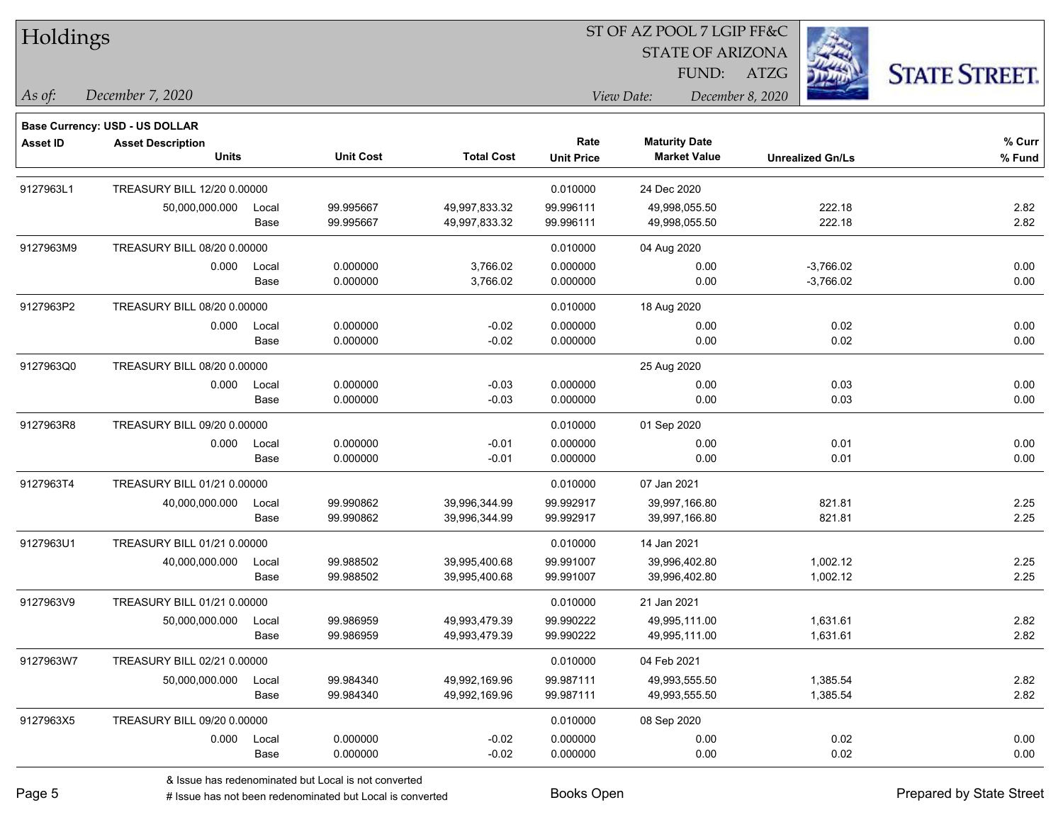Holdings

### ST OF AZ POOL 7 LGIP FF&C

STATE OF ARIZONA

FUND: ATZG



*As of: View Date: December 8, 2020*

| As of: | December 7, 2020 |  |
|--------|------------------|--|
|        |                  |  |

|                 | <b>Base Currency: USD - US DOLLAR</b> |             |                                                        |                   |                   |                      |                         |        |
|-----------------|---------------------------------------|-------------|--------------------------------------------------------|-------------------|-------------------|----------------------|-------------------------|--------|
| <b>Asset ID</b> | <b>Asset Description</b>              |             |                                                        |                   | Rate              | <b>Maturity Date</b> |                         | % Curr |
|                 | <b>Units</b>                          |             | <b>Unit Cost</b>                                       | <b>Total Cost</b> | <b>Unit Price</b> | <b>Market Value</b>  | <b>Unrealized Gn/Ls</b> | % Fund |
| 9127963L1       | TREASURY BILL 12/20 0.00000           |             |                                                        |                   | 0.010000          | 24 Dec 2020          |                         |        |
|                 | 50,000,000.000                        | Local       | 99.995667                                              | 49,997,833.32     | 99.996111         | 49,998,055.50        | 222.18                  | 2.82   |
|                 |                                       | Base        | 99.995667                                              | 49,997,833.32     | 99.996111         | 49,998,055.50        | 222.18                  | 2.82   |
| 9127963M9       | TREASURY BILL 08/20 0.00000           |             |                                                        |                   | 0.010000          | 04 Aug 2020          |                         |        |
|                 | 0.000                                 | Local       | 0.000000                                               | 3,766.02          | 0.000000          | 0.00                 | $-3,766.02$             | 0.00   |
|                 |                                       | <b>Base</b> | 0.000000                                               | 3,766.02          | 0.000000          | 0.00                 | $-3,766.02$             | 0.00   |
| 9127963P2       | TREASURY BILL 08/20 0.00000           |             |                                                        |                   | 0.010000          | 18 Aug 2020          |                         |        |
|                 | 0.000                                 | Local       | 0.000000                                               | $-0.02$           | 0.000000          | 0.00                 | 0.02                    | 0.00   |
|                 |                                       | Base        | 0.000000                                               | $-0.02$           | 0.000000          | 0.00                 | 0.02                    | 0.00   |
| 9127963Q0       | TREASURY BILL 08/20 0.00000           |             |                                                        |                   |                   | 25 Aug 2020          |                         |        |
|                 | 0.000                                 | Local       | 0.000000                                               | $-0.03$           | 0.000000          | 0.00                 | 0.03                    | 0.00   |
|                 |                                       | Base        | 0.000000                                               | $-0.03$           | 0.000000          | 0.00                 | 0.03                    | 0.00   |
| 9127963R8       | TREASURY BILL 09/20 0.00000           |             |                                                        |                   | 0.010000          | 01 Sep 2020          |                         |        |
|                 | 0.000                                 | Local       | 0.000000                                               | $-0.01$           | 0.000000          | 0.00                 | 0.01                    | 0.00   |
|                 |                                       | Base        | 0.000000                                               | $-0.01$           | 0.000000          | 0.00                 | 0.01                    | 0.00   |
| 9127963T4       | TREASURY BILL 01/21 0.00000           |             |                                                        |                   | 0.010000          | 07 Jan 2021          |                         |        |
|                 | 40,000,000.000                        | Local       | 99.990862                                              | 39,996,344.99     | 99.992917         | 39,997,166.80        | 821.81                  | 2.25   |
|                 |                                       | <b>Base</b> | 99.990862                                              | 39,996,344.99     | 99.992917         | 39,997,166.80        | 821.81                  | 2.25   |
| 9127963U1       | TREASURY BILL 01/21 0.00000           |             |                                                        |                   | 0.010000          | 14 Jan 2021          |                         |        |
|                 | 40,000,000.000                        | Local       | 99.988502                                              | 39,995,400.68     | 99.991007         | 39,996,402.80        | 1,002.12                | 2.25   |
|                 |                                       | Base        | 99.988502                                              | 39,995,400.68     | 99.991007         | 39,996,402.80        | 1,002.12                | 2.25   |
| 9127963V9       | TREASURY BILL 01/21 0.00000           |             |                                                        |                   | 0.010000          | 21 Jan 2021          |                         |        |
|                 | 50,000,000.000                        | Local       | 99.986959                                              | 49,993,479.39     | 99.990222         | 49.995.111.00        | 1,631.61                | 2.82   |
|                 |                                       | Base        | 99.986959                                              | 49,993,479.39     | 99.990222         | 49,995,111.00        | 1,631.61                | 2.82   |
| 9127963W7       | TREASURY BILL 02/21 0.00000           |             |                                                        |                   | 0.010000          | 04 Feb 2021          |                         |        |
|                 | 50,000,000.000                        | Local       | 99.984340                                              | 49,992,169.96     | 99.987111         | 49,993,555.50        | 1,385.54                | 2.82   |
|                 |                                       | Base        | 99.984340                                              | 49,992,169.96     | 99.987111         | 49,993,555.50        | 1,385.54                | 2.82   |
| 9127963X5       | TREASURY BILL 09/20 0.00000           |             |                                                        |                   | 0.010000          | 08 Sep 2020          |                         |        |
|                 | 0.000                                 | Local       | 0.000000                                               | $-0.02$           | 0.000000          | 0.00                 | 0.02                    | 0.00   |
|                 |                                       | Base        | 0.000000                                               | $-0.02$           | 0.000000          | 0.00                 | 0.02                    | 0.00   |
|                 |                                       |             | 8. Jecule has redenominated but Local is not converted |                   |                   |                      |                         |        |

& Issue has redenominated but Local is not converted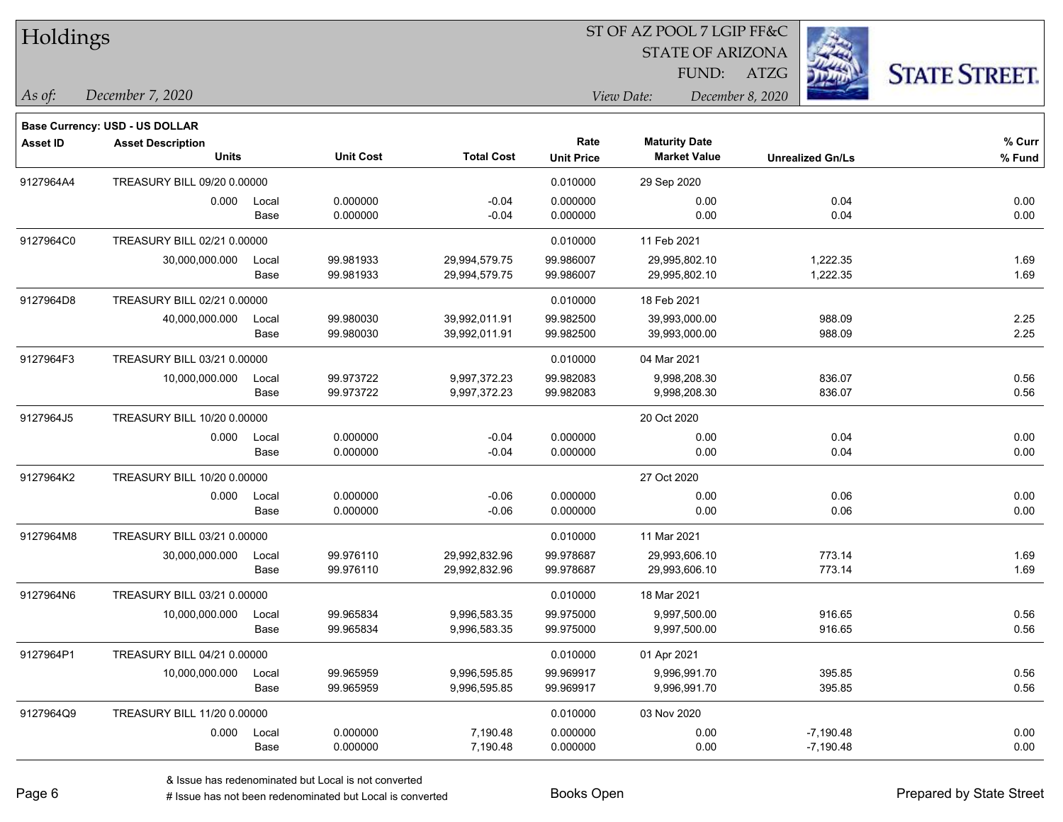| Holdings        |                                       |       |                  |                   |                   | 51 OF AZ POOL 7 LGIP FF&C |                         |                     |
|-----------------|---------------------------------------|-------|------------------|-------------------|-------------------|---------------------------|-------------------------|---------------------|
|                 |                                       |       |                  |                   |                   | <b>STATE OF ARIZONA</b>   |                         |                     |
|                 |                                       |       |                  |                   |                   |                           | FUND: ATZG              | <b>STATE STREET</b> |
| As of:          | December 7, 2020                      |       |                  |                   | View Date:        |                           | December 8, 2020        |                     |
|                 | <b>Base Currency: USD - US DOLLAR</b> |       |                  |                   |                   |                           |                         |                     |
| <b>Asset ID</b> | <b>Asset Description</b>              |       |                  |                   | Rate              | <b>Maturity Date</b>      |                         | % Curr              |
|                 | <b>Units</b>                          |       | <b>Unit Cost</b> | <b>Total Cost</b> | <b>Unit Price</b> | <b>Market Value</b>       | <b>Unrealized Gn/Ls</b> | % Fund              |
| 9127964A4       | TREASURY BILL 09/20 0.00000           |       |                  |                   | 0.010000          | 29 Sep 2020               |                         |                     |
|                 | 0.000                                 | Local | 0.000000         | $-0.04$           | 0.000000          | 0.00                      | 0.04                    | 0.00                |
|                 |                                       | Base  | 0.000000         | $-0.04$           | 0.000000          | 0.00                      | 0.04                    | 0.00                |
| 9127964C0       | TREASURY BILL 02/21 0.00000           |       |                  |                   | 0.010000          | 11 Feb 2021               |                         |                     |
|                 | 30,000,000.000                        | Local | 99.981933        | 29,994,579.75     | 99.986007         | 29,995,802.10             | 1,222.35                | 1.69                |
|                 |                                       | Base  | 99.981933        | 29,994,579.75     | 99.986007         | 29,995,802.10             | 1,222.35                | 1.69                |
| 9127964D8       | TREASURY BILL 02/21 0.00000           |       |                  |                   | 0.010000          | 18 Feb 2021               |                         |                     |
|                 | 40,000,000.000                        | Local | 99.980030        | 39,992,011.91     | 99.982500         | 39,993,000.00             | 988.09                  | 2.25                |
|                 |                                       | Base  | 99.980030        | 39,992,011.91     | 99.982500         | 39,993,000.00             | 988.09                  | 2.25                |
| 9127964F3       | TREASURY BILL 03/21 0.00000           |       |                  |                   | 0.010000          | 04 Mar 2021               |                         |                     |
|                 | 10,000,000.000                        | Local | 99.973722        | 9,997,372.23      | 99.982083         | 9,998,208.30              | 836.07                  | 0.56                |
|                 |                                       | Base  | 99.973722        | 9,997,372.23      | 99.982083         | 9,998,208.30              | 836.07                  | 0.56                |
| 9127964J5       | TREASURY BILL 10/20 0.00000           |       |                  |                   |                   | 20 Oct 2020               |                         |                     |
|                 | 0.000                                 | Local | 0.000000         | $-0.04$           | 0.000000          | 0.00                      | 0.04                    | 0.00                |
|                 |                                       | Base  | 0.000000         | $-0.04$           | 0.000000          | 0.00                      | 0.04                    | 0.00                |
| 9127964K2       | TREASURY BILL 10/20 0.00000           |       |                  |                   |                   | 27 Oct 2020               |                         |                     |
|                 | 0.000                                 | Local | 0.000000         | $-0.06$           | 0.000000          | 0.00                      | 0.06                    | 0.00                |
|                 |                                       | Base  | 0.000000         | $-0.06$           | 0.000000          | 0.00                      | 0.06                    | 0.00                |
| 9127964M8       | TREASURY BILL 03/21 0.00000           |       |                  |                   | 0.010000          | 11 Mar 2021               |                         |                     |
|                 | 30,000,000.000                        | Local | 99.976110        | 29,992,832.96     | 99.978687         | 29,993,606.10             | 773.14                  | 1.69                |
|                 |                                       | Base  | 99.976110        | 29,992,832.96     | 99.978687         | 29,993,606.10             | 773.14                  | 1.69                |
| 9127964N6       | TREASURY BILL 03/21 0.00000           |       |                  |                   | 0.010000          | 18 Mar 2021               |                         |                     |
|                 | 10,000,000.000                        | Local | 99.965834        | 9,996,583.35      | 99.975000         | 9,997,500.00              | 916.65                  | 0.56                |
|                 |                                       | Base  | 99.965834        | 9,996,583.35      | 99.975000         | 9,997,500.00              | 916.65                  | 0.56                |
| 9127964P1       | TREASURY BILL 04/21 0.00000           |       |                  |                   | 0.010000          | 01 Apr 2021               |                         |                     |
|                 | 10,000,000.000                        | Local | 99.965959        | 9,996,595.85      | 99.969917         | 9,996,991.70              | 395.85                  | 0.56                |
|                 |                                       | Base  | 99.965959        | 9,996,595.85      | 99.969917         | 9,996,991.70              | 395.85                  | 0.56                |
| 9127964Q9       | TREASURY BILL 11/20 0.00000           |       |                  |                   | 0.010000          | 03 Nov 2020               |                         |                     |
|                 | 0.000                                 | Local | 0.000000         | 7,190.48          | 0.000000          | 0.00                      | $-7,190.48$             | 0.00                |
|                 |                                       | Base  | 0.000000         | 7,190.48          | 0.000000          | 0.00                      | $-7,190.48$             | 0.00                |

 $ST$  OF AZ POOL 7 LCIP FF&C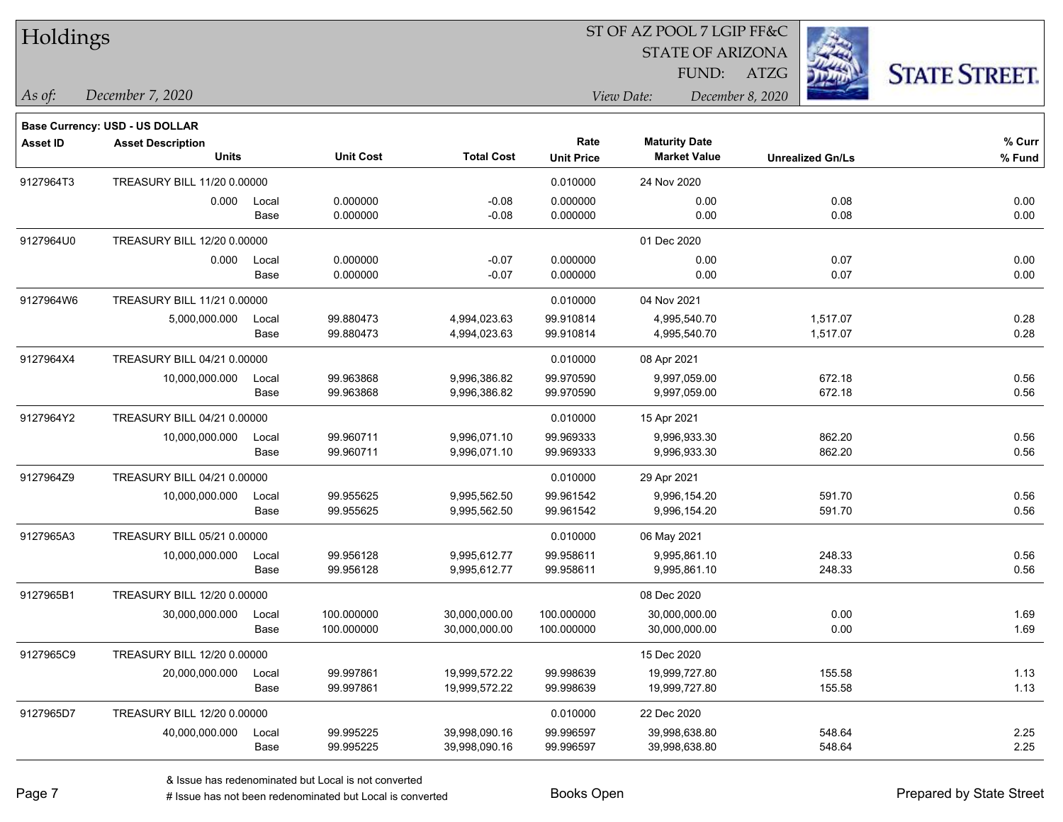| Holdings        |                                                            |       |                  |                   |                   | ST OF AZ POOL 7 LGIP FF&C |                         |                      |
|-----------------|------------------------------------------------------------|-------|------------------|-------------------|-------------------|---------------------------|-------------------------|----------------------|
|                 |                                                            |       |                  |                   |                   | <b>STATE OF ARIZONA</b>   |                         |                      |
|                 |                                                            |       |                  |                   |                   | FUND:                     | ATZG                    | <b>STATE STREET.</b> |
| As of:          | December 7, 2020                                           |       |                  |                   |                   | View Date:                | December 8, 2020        |                      |
|                 |                                                            |       |                  |                   |                   |                           |                         |                      |
| <b>Asset ID</b> | Base Currency: USD - US DOLLAR<br><b>Asset Description</b> |       |                  |                   | Rate              | <b>Maturity Date</b>      |                         | % Curr               |
|                 | <b>Units</b>                                               |       | <b>Unit Cost</b> | <b>Total Cost</b> | <b>Unit Price</b> | <b>Market Value</b>       | <b>Unrealized Gn/Ls</b> | $%$ Fund             |
| 9127964T3       | TREASURY BILL 11/20 0.00000                                |       |                  |                   | 0.010000          | 24 Nov 2020               |                         |                      |
|                 | 0.000                                                      | Local | 0.000000         | $-0.08$           | 0.000000          | 0.00                      | 0.08                    | 0.00                 |
|                 |                                                            | Base  | 0.000000         | $-0.08$           | 0.000000          | 0.00                      | 0.08                    | 0.00                 |
| 9127964U0       | TREASURY BILL 12/20 0.00000                                |       |                  |                   |                   | 01 Dec 2020               |                         |                      |
|                 | 0.000                                                      | Local | 0.000000         | $-0.07$           | 0.000000          | 0.00                      | 0.07                    | 0.00                 |
|                 |                                                            | Base  | 0.000000         | $-0.07$           | 0.000000          | 0.00                      | 0.07                    | 0.00                 |
| 9127964W6       | TREASURY BILL 11/21 0.00000                                |       |                  |                   | 0.010000          | 04 Nov 2021               |                         |                      |
|                 | 5,000,000.000                                              | Local | 99.880473        | 4,994,023.63      | 99.910814         | 4,995,540.70              | 1,517.07                | 0.28                 |
|                 |                                                            | Base  | 99.880473        | 4,994,023.63      | 99.910814         | 4,995,540.70              | 1,517.07                | 0.28                 |
| 9127964X4       | TREASURY BILL 04/21 0.00000                                |       |                  |                   | 0.010000          | 08 Apr 2021               |                         |                      |
|                 | 10,000,000.000                                             | Local | 99.963868        | 9,996,386.82      | 99.970590         | 9,997,059.00              | 672.18                  | 0.56                 |
|                 |                                                            | Base  | 99.963868        | 9,996,386.82      | 99.970590         | 9,997,059.00              | 672.18                  | 0.56                 |
| 9127964Y2       | TREASURY BILL 04/21 0.00000                                |       |                  |                   | 0.010000          | 15 Apr 2021               |                         |                      |
|                 | 10,000,000.000                                             | Local | 99.960711        | 9,996,071.10      | 99.969333         | 9,996,933.30              | 862.20                  | 0.56                 |
|                 |                                                            | Base  | 99.960711        | 9,996,071.10      | 99.969333         | 9,996,933.30              | 862.20                  | 0.56                 |
| 9127964Z9       | TREASURY BILL 04/21 0.00000                                |       |                  |                   | 0.010000          | 29 Apr 2021               |                         |                      |
|                 | 10,000,000.000                                             | Local | 99.955625        | 9,995,562.50      | 99.961542         | 9,996,154.20              | 591.70                  | 0.56                 |
|                 |                                                            | Base  | 99.955625        | 9,995,562.50      | 99.961542         | 9,996,154.20              | 591.70                  | 0.56                 |
| 9127965A3       | TREASURY BILL 05/21 0.00000                                |       |                  |                   | 0.010000          | 06 May 2021               |                         |                      |
|                 | 10,000,000.000                                             | Local | 99.956128        | 9,995,612.77      | 99.958611         | 9,995,861.10              | 248.33                  | 0.56                 |
|                 |                                                            | Base  | 99.956128        | 9,995,612.77      | 99.958611         | 9,995,861.10              | 248.33                  | 0.56                 |
| 9127965B1       | TREASURY BILL 12/20 0.00000                                |       |                  |                   |                   | 08 Dec 2020               |                         |                      |
|                 | 30,000,000.000                                             | Local | 100.000000       | 30,000,000.00     | 100.000000        | 30,000,000.00             | 0.00                    | 1.69                 |
|                 |                                                            | Base  | 100.000000       | 30,000,000.00     | 100.000000        | 30,000,000.00             | 0.00                    | 1.69                 |
| 9127965C9       | TREASURY BILL 12/20 0.00000                                |       |                  |                   |                   | 15 Dec 2020               |                         |                      |
|                 | 20,000,000.000                                             | Local | 99.997861        | 19,999,572.22     | 99.998639         | 19,999,727.80             | 155.58                  | 1.13                 |
|                 |                                                            | Base  | 99.997861        | 19,999,572.22     | 99.998639         | 19,999,727.80             | 155.58                  | 1.13                 |
| 9127965D7       | TREASURY BILL 12/20 0.00000                                |       |                  |                   | 0.010000          | 22 Dec 2020               |                         |                      |
|                 | 40,000,000.000                                             | Local | 99.995225        | 39,998,090.16     | 99.996597         | 39,998,638.80             | 548.64                  | 2.25                 |
|                 |                                                            | Base  | 99.995225        | 39,998,090.16     | 99.996597         | 39,998,638.80             | 548.64                  | 2.25                 |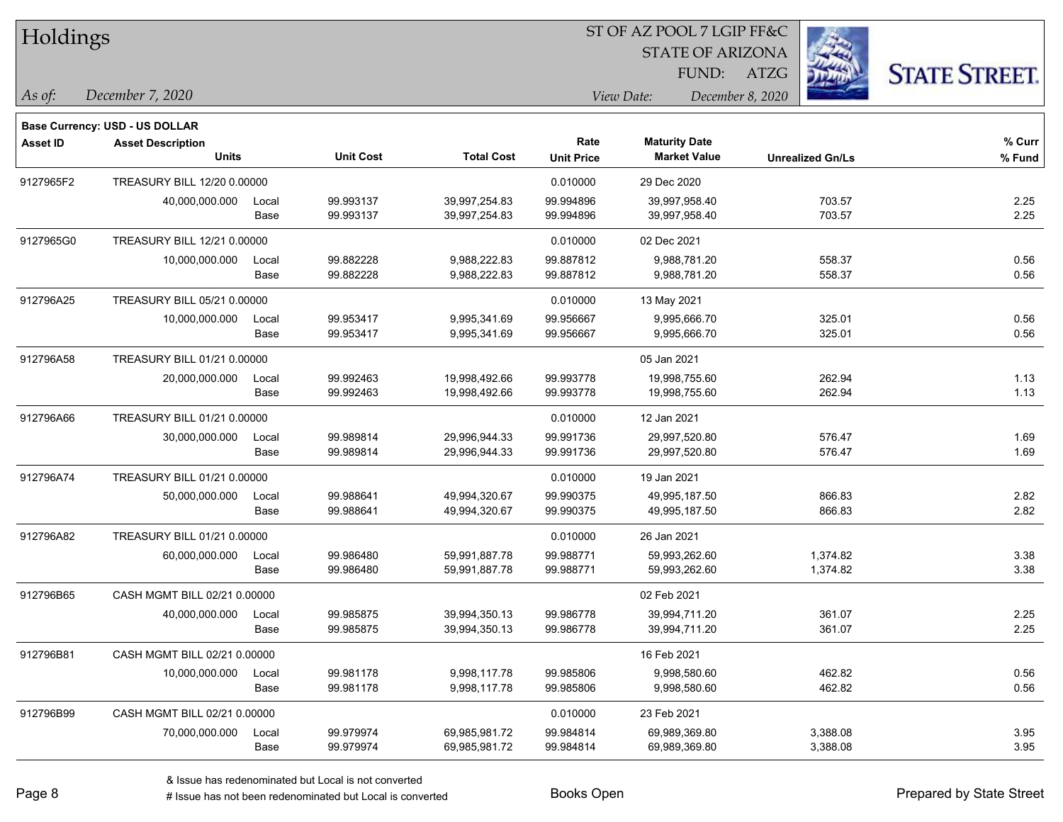| Holdings        |                                       |       |                  |                   |                   | 51 OF AZ POOL 7 LGIP FF&C |                         |                      |
|-----------------|---------------------------------------|-------|------------------|-------------------|-------------------|---------------------------|-------------------------|----------------------|
|                 |                                       |       |                  |                   |                   | <b>STATE OF ARIZONA</b>   |                         |                      |
|                 |                                       |       |                  |                   |                   | FUND: ATZG                |                         | <b>STATE STREET.</b> |
| As of:          | December 7, 2020                      |       |                  |                   | View Date:        |                           | December 8, 2020        |                      |
|                 | <b>Base Currency: USD - US DOLLAR</b> |       |                  |                   |                   |                           |                         |                      |
| <b>Asset ID</b> | <b>Asset Description</b>              |       |                  |                   | Rate              | <b>Maturity Date</b>      |                         | $%$ Curr             |
|                 | <b>Units</b>                          |       | <b>Unit Cost</b> | <b>Total Cost</b> | <b>Unit Price</b> | <b>Market Value</b>       | <b>Unrealized Gn/Ls</b> | % Fund               |
| 9127965F2       | TREASURY BILL 12/20 0.00000           |       |                  |                   | 0.010000          | 29 Dec 2020               |                         |                      |
|                 | 40,000,000.000                        | Local | 99.993137        | 39,997,254.83     | 99.994896         | 39,997,958.40             | 703.57                  | 2.25                 |
|                 |                                       | Base  | 99.993137        | 39,997,254.83     | 99.994896         | 39,997,958.40             | 703.57                  | 2.25                 |
| 9127965G0       | TREASURY BILL 12/21 0.00000           |       |                  |                   | 0.010000          | 02 Dec 2021               |                         |                      |
|                 | 10,000,000.000                        | Local | 99.882228        | 9,988,222.83      | 99.887812         | 9,988,781.20              | 558.37                  | 0.56                 |
|                 |                                       | Base  | 99.882228        | 9,988,222.83      | 99.887812         | 9,988,781.20              | 558.37                  | 0.56                 |
| 912796A25       | TREASURY BILL 05/21 0.00000           |       |                  |                   | 0.010000          | 13 May 2021               |                         |                      |
|                 | 10,000,000.000                        | Local | 99.953417        | 9,995,341.69      | 99.956667         | 9,995,666.70              | 325.01                  | 0.56                 |
|                 |                                       | Base  | 99.953417        | 9,995,341.69      | 99.956667         | 9,995,666.70              | 325.01                  | 0.56                 |
| 912796A58       | TREASURY BILL 01/21 0.00000           |       |                  |                   |                   | 05 Jan 2021               |                         |                      |
|                 | 20,000,000.000                        | Local | 99.992463        | 19,998,492.66     | 99.993778         | 19,998,755.60             | 262.94                  | 1.13                 |
|                 |                                       | Base  | 99.992463        | 19,998,492.66     | 99.993778         | 19,998,755.60             | 262.94                  | 1.13                 |
| 912796A66       | TREASURY BILL 01/21 0.00000           |       |                  |                   | 0.010000          | 12 Jan 2021               |                         |                      |
|                 | 30,000,000.000                        | Local | 99.989814        | 29,996,944.33     | 99.991736         | 29,997,520.80             | 576.47                  | 1.69                 |
|                 |                                       | Base  | 99.989814        | 29,996,944.33     | 99.991736         | 29,997,520.80             | 576.47                  | 1.69                 |
| 912796A74       | TREASURY BILL 01/21 0.00000           |       |                  |                   | 0.010000          | 19 Jan 2021               |                         |                      |
|                 | 50,000,000.000                        | Local | 99.988641        | 49,994,320.67     | 99.990375         | 49,995,187.50             | 866.83                  | 2.82                 |
|                 |                                       | Base  | 99.988641        | 49,994,320.67     | 99.990375         | 49,995,187.50             | 866.83                  | 2.82                 |
| 912796A82       | TREASURY BILL 01/21 0.00000           |       |                  |                   | 0.010000          | 26 Jan 2021               |                         |                      |
|                 | 60,000,000.000                        | Local | 99.986480        | 59,991,887.78     | 99.988771         | 59,993,262.60             | 1,374.82                | 3.38                 |
|                 |                                       | Base  | 99.986480        | 59,991,887.78     | 99.988771         | 59,993,262.60             | 1,374.82                | 3.38                 |
| 912796B65       | CASH MGMT BILL 02/21 0.00000          |       |                  |                   |                   | 02 Feb 2021               |                         |                      |
|                 | 40,000,000.000                        | Local | 99.985875        | 39,994,350.13     | 99.986778         | 39,994,711.20             | 361.07                  | 2.25                 |
|                 |                                       | Base  | 99.985875        | 39,994,350.13     | 99.986778         | 39,994,711.20             | 361.07                  | 2.25                 |
| 912796B81       | CASH MGMT BILL 02/21 0.00000          |       |                  |                   |                   | 16 Feb 2021               |                         |                      |
|                 | 10,000,000.000                        | Local | 99.981178        | 9,998,117.78      | 99.985806         | 9,998,580.60              | 462.82                  | 0.56                 |
|                 |                                       | Base  | 99.981178        | 9,998,117.78      | 99.985806         | 9,998,580.60              | 462.82                  | 0.56                 |
| 912796B99       | CASH MGMT BILL 02/21 0.00000          |       |                  |                   | 0.010000          | 23 Feb 2021               |                         |                      |
|                 | 70,000,000.000                        | Local | 99.979974        | 69,985,981.72     | 99.984814         | 69,989,369.80             | 3,388.08                | 3.95                 |
|                 |                                       | Base  | 99.979974        | 69,985,981.72     | 99.984814         | 69,989,369.80             | 3,388.08                | 3.95                 |

 $ST$  OF AZ POOL 7 LCIP FF&C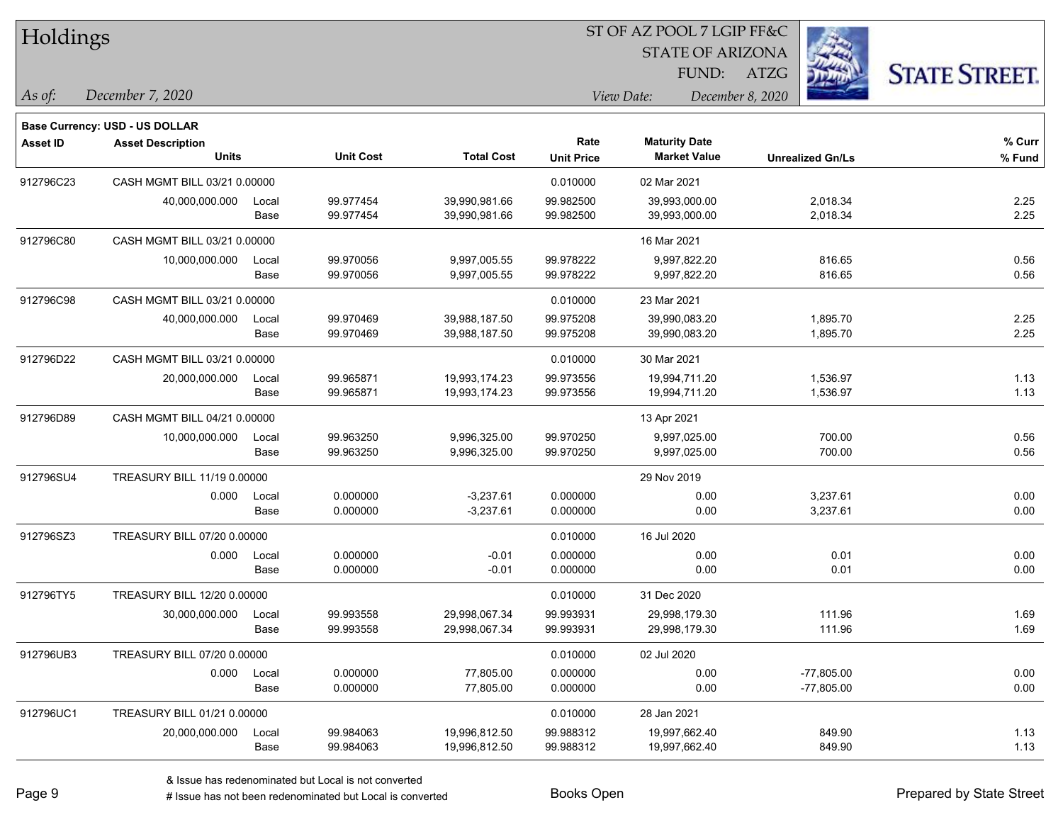| Holdings        |                                |       |                  |                   |                   | ST OF AZ POOL 7 LGIP FF&C |                         |                      |
|-----------------|--------------------------------|-------|------------------|-------------------|-------------------|---------------------------|-------------------------|----------------------|
|                 |                                |       |                  |                   |                   | <b>STATE OF ARIZONA</b>   |                         |                      |
|                 |                                |       |                  |                   |                   | FUND:                     | ATZG                    | <b>STATE STREET.</b> |
| As of:          | December 7, 2020               |       |                  |                   |                   | View Date:                | December 8, 2020        |                      |
|                 | Base Currency: USD - US DOLLAR |       |                  |                   |                   |                           |                         |                      |
| <b>Asset ID</b> | <b>Asset Description</b>       |       |                  |                   | Rate              | <b>Maturity Date</b>      |                         | % Curr               |
|                 | <b>Units</b>                   |       | <b>Unit Cost</b> | <b>Total Cost</b> | <b>Unit Price</b> | <b>Market Value</b>       | <b>Unrealized Gn/Ls</b> | % Fund               |
| 912796C23       | CASH MGMT BILL 03/21 0.00000   |       |                  |                   | 0.010000          | 02 Mar 2021               |                         |                      |
|                 | 40,000,000.000                 | Local | 99.977454        | 39,990,981.66     | 99.982500         | 39,993,000.00             | 2,018.34                | 2.25                 |
|                 |                                | Base  | 99.977454        | 39,990,981.66     | 99.982500         | 39,993,000.00             | 2,018.34                | 2.25                 |
| 912796C80       | CASH MGMT BILL 03/21 0.00000   |       |                  |                   |                   | 16 Mar 2021               |                         |                      |
|                 | 10,000,000.000                 | Local | 99.970056        | 9,997,005.55      | 99.978222         | 9,997,822.20              | 816.65                  | 0.56                 |
|                 |                                | Base  | 99.970056        | 9,997,005.55      | 99.978222         | 9,997,822.20              | 816.65                  | 0.56                 |
| 912796C98       | CASH MGMT BILL 03/21 0.00000   |       |                  |                   | 0.010000          | 23 Mar 2021               |                         |                      |
|                 | 40,000,000.000                 | Local | 99.970469        | 39,988,187.50     | 99.975208         | 39,990,083.20             | 1,895.70                | 2.25                 |
|                 |                                | Base  | 99.970469        | 39,988,187.50     | 99.975208         | 39,990,083.20             | 1,895.70                | 2.25                 |
| 912796D22       | CASH MGMT BILL 03/21 0.00000   |       |                  |                   | 0.010000          | 30 Mar 2021               |                         |                      |
|                 | 20,000,000.000                 | Local | 99.965871        | 19,993,174.23     | 99.973556         | 19,994,711.20             | 1,536.97                | 1.13                 |
|                 |                                | Base  | 99.965871        | 19,993,174.23     | 99.973556         | 19,994,711.20             | 1,536.97                | 1.13                 |
| 912796D89       | CASH MGMT BILL 04/21 0.00000   |       |                  |                   |                   | 13 Apr 2021               |                         |                      |
|                 | 10,000,000.000                 | Local | 99.963250        | 9,996,325.00      | 99.970250         | 9,997,025.00              | 700.00                  | 0.56                 |
|                 |                                | Base  | 99.963250        | 9,996,325.00      | 99.970250         | 9,997,025.00              | 700.00                  | 0.56                 |
| 912796SU4       | TREASURY BILL 11/19 0.00000    |       |                  |                   |                   | 29 Nov 2019               |                         |                      |
|                 | 0.000                          | Local | 0.000000         | $-3,237.61$       | 0.000000          | 0.00                      | 3,237.61                | 0.00                 |
|                 |                                | Base  | 0.000000         | $-3,237.61$       | 0.000000          | 0.00                      | 3,237.61                | 0.00                 |
| 912796SZ3       | TREASURY BILL 07/20 0.00000    |       |                  |                   | 0.010000          | 16 Jul 2020               |                         |                      |
|                 | 0.000                          | Local | 0.000000         | $-0.01$           | 0.000000          | 0.00                      | 0.01                    | 0.00                 |
|                 |                                | Base  | 0.000000         | $-0.01$           | 0.000000          | 0.00                      | 0.01                    | 0.00                 |
| 912796TY5       | TREASURY BILL 12/20 0.00000    |       |                  |                   | 0.010000          | 31 Dec 2020               |                         |                      |
|                 | 30,000,000.000                 | Local | 99.993558        | 29.998.067.34     | 99.993931         | 29,998,179.30             | 111.96                  | 1.69                 |
|                 |                                | Base  | 99.993558        | 29,998,067.34     | 99.993931         | 29,998,179.30             | 111.96                  | 1.69                 |
| 912796UB3       | TREASURY BILL 07/20 0.00000    |       |                  |                   | 0.010000          | 02 Jul 2020               |                         |                      |
|                 | 0.000                          | Local | 0.000000         | 77,805.00         | 0.000000          | 0.00                      | $-77,805.00$            | 0.00                 |
|                 |                                | Base  | 0.000000         | 77,805.00         | 0.000000          | 0.00                      | $-77,805.00$            | 0.00                 |
| 912796UC1       | TREASURY BILL 01/21 0.00000    |       |                  |                   | 0.010000          | 28 Jan 2021               |                         |                      |
|                 | 20,000,000.000                 | Local | 99.984063        | 19,996,812.50     | 99.988312         | 19,997,662.40             | 849.90                  | 1.13                 |
|                 |                                | Base  | 99.984063        | 19,996,812.50     | 99.988312         | 19,997,662.40             | 849.90                  | 1.13                 |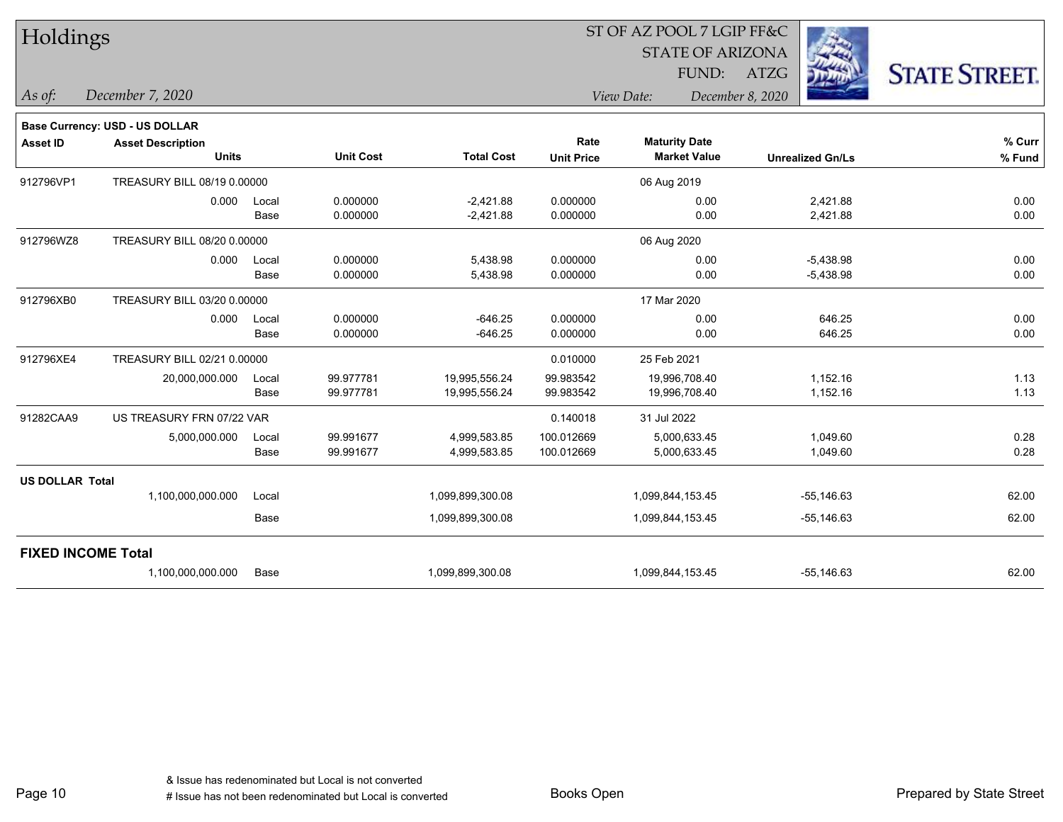| Holdings                  |                                |       |                  |                   | ST OF AZ POOL 7 LGIP FF&C |                         |                         |                      |  |
|---------------------------|--------------------------------|-------|------------------|-------------------|---------------------------|-------------------------|-------------------------|----------------------|--|
|                           |                                |       |                  |                   |                           | <b>STATE OF ARIZONA</b> |                         |                      |  |
|                           |                                |       |                  |                   |                           | FUND:                   | <b>ATZG</b>             | <b>STATE STREET.</b> |  |
| $\vert$ As of:            | December 7, 2020               |       |                  |                   |                           | View Date:              | December 8, 2020        |                      |  |
|                           | Base Currency: USD - US DOLLAR |       |                  |                   |                           |                         |                         |                      |  |
| <b>Asset ID</b>           | <b>Asset Description</b>       |       |                  |                   | Rate                      | <b>Maturity Date</b>    |                         | % Curr               |  |
|                           | <b>Units</b>                   |       | <b>Unit Cost</b> | <b>Total Cost</b> | <b>Unit Price</b>         | <b>Market Value</b>     | <b>Unrealized Gn/Ls</b> | $%$ Fund             |  |
| 912796VP1                 | TREASURY BILL 08/19 0.00000    |       |                  |                   |                           | 06 Aug 2019             |                         |                      |  |
|                           | 0.000                          | Local | 0.000000         | $-2,421.88$       | 0.000000                  | 0.00                    | 2,421.88                | 0.00                 |  |
|                           |                                | Base  | 0.000000         | $-2,421.88$       | 0.000000                  | 0.00                    | 2,421.88                | 0.00                 |  |
| 912796WZ8                 | TREASURY BILL 08/20 0.00000    |       |                  |                   |                           | 06 Aug 2020             |                         |                      |  |
|                           | 0.000                          | Local | 0.000000         | 5,438.98          | 0.000000                  | 0.00                    | $-5,438.98$             | 0.00                 |  |
|                           |                                | Base  | 0.000000         | 5,438.98          | 0.000000                  | 0.00                    | $-5,438.98$             | 0.00                 |  |
| 912796XB0                 | TREASURY BILL 03/20 0.00000    |       |                  |                   |                           | 17 Mar 2020             |                         |                      |  |
|                           | 0.000                          | Local | 0.000000         | $-646.25$         | 0.000000                  | 0.00                    | 646.25                  | 0.00                 |  |
|                           |                                | Base  | 0.000000         | $-646.25$         | 0.000000                  | 0.00                    | 646.25                  | 0.00                 |  |
| 912796XE4                 | TREASURY BILL 02/21 0.00000    |       |                  |                   | 0.010000                  | 25 Feb 2021             |                         |                      |  |
|                           | 20,000,000.000                 | Local | 99.977781        | 19,995,556.24     | 99.983542                 | 19,996,708.40           | 1,152.16                | 1.13                 |  |
|                           |                                | Base  | 99.977781        | 19,995,556.24     | 99.983542                 | 19,996,708.40           | 1,152.16                | 1.13                 |  |
| 91282CAA9                 | US TREASURY FRN 07/22 VAR      |       |                  |                   | 0.140018                  | 31 Jul 2022             |                         |                      |  |
|                           | 5,000,000.000                  | Local | 99.991677        | 4,999,583.85      | 100.012669                | 5,000,633.45            | 1,049.60                | 0.28                 |  |
|                           |                                | Base  | 99.991677        | 4,999,583.85      | 100.012669                | 5,000,633.45            | 1,049.60                | 0.28                 |  |
| <b>US DOLLAR Total</b>    |                                |       |                  |                   |                           |                         |                         |                      |  |
|                           | 1,100,000,000.000              | Local |                  | 1,099,899,300.08  |                           | 1,099,844,153.45        | $-55,146.63$            | 62.00                |  |
|                           |                                | Base  |                  | 1,099,899,300.08  |                           | 1,099,844,153.45        | $-55,146.63$            | 62.00                |  |
| <b>FIXED INCOME Total</b> |                                |       |                  |                   |                           |                         |                         |                      |  |
|                           | 1,100,000,000.000              | Base  |                  | 1,099,899,300.08  |                           | 1,099,844,153.45        | $-55,146.63$            | 62.00                |  |

Page 10

٦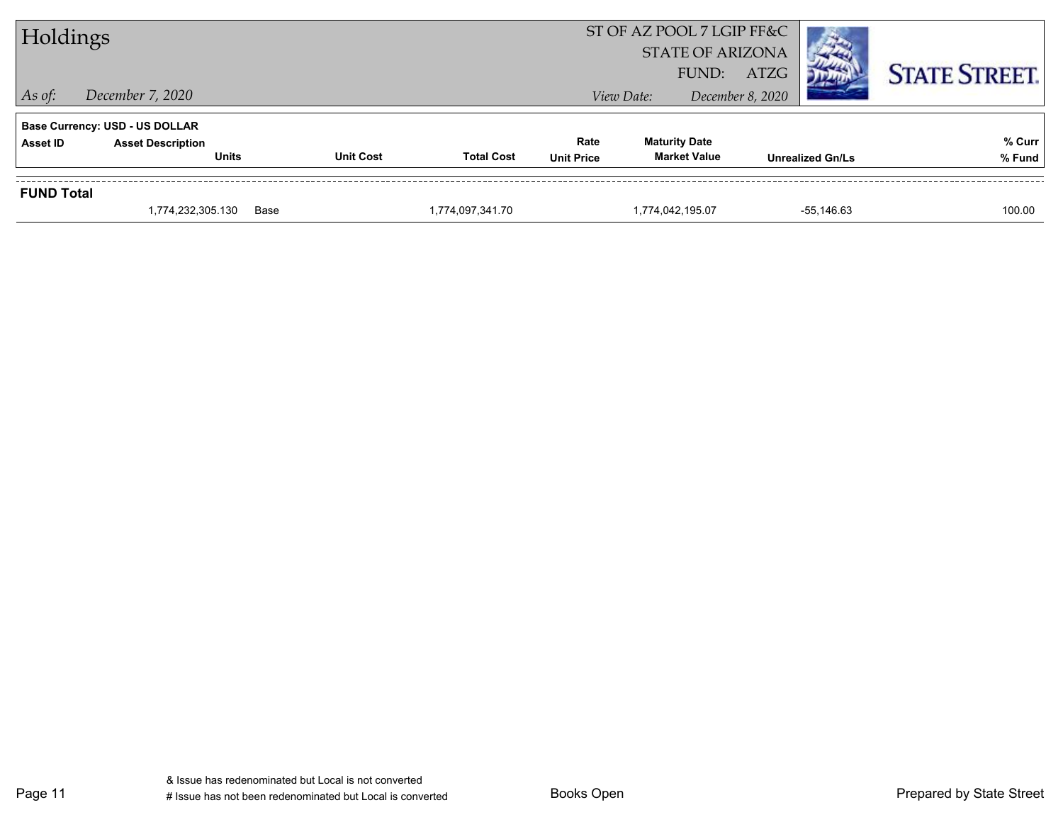| Holdings          |                                                                                   |                  |                   |                           | ST OF AZ POOL 7 LGIP FF&C<br><b>STATE OF ARIZONA</b><br>FUND: | ATZG                    | <b>STATE STREET.</b> |
|-------------------|-----------------------------------------------------------------------------------|------------------|-------------------|---------------------------|---------------------------------------------------------------|-------------------------|----------------------|
| $\vert$ As of:    | December 7, 2020                                                                  |                  |                   |                           | View Date:                                                    | December 8, 2020        |                      |
| <b>Asset ID</b>   | <b>Base Currency: USD - US DOLLAR</b><br><b>Asset Description</b><br><b>Units</b> | <b>Unit Cost</b> | <b>Total Cost</b> | Rate<br><b>Unit Price</b> | <b>Maturity Date</b><br><b>Market Value</b>                   | <b>Unrealized Gn/Ls</b> | % Curr<br>% Fund     |
| <b>FUND Total</b> | 1,774,232,305.130                                                                 | Base             | 1,774,097,341.70  |                           | 1,774,042,195.07                                              | $-55,146.63$            | 100.00               |

Page 11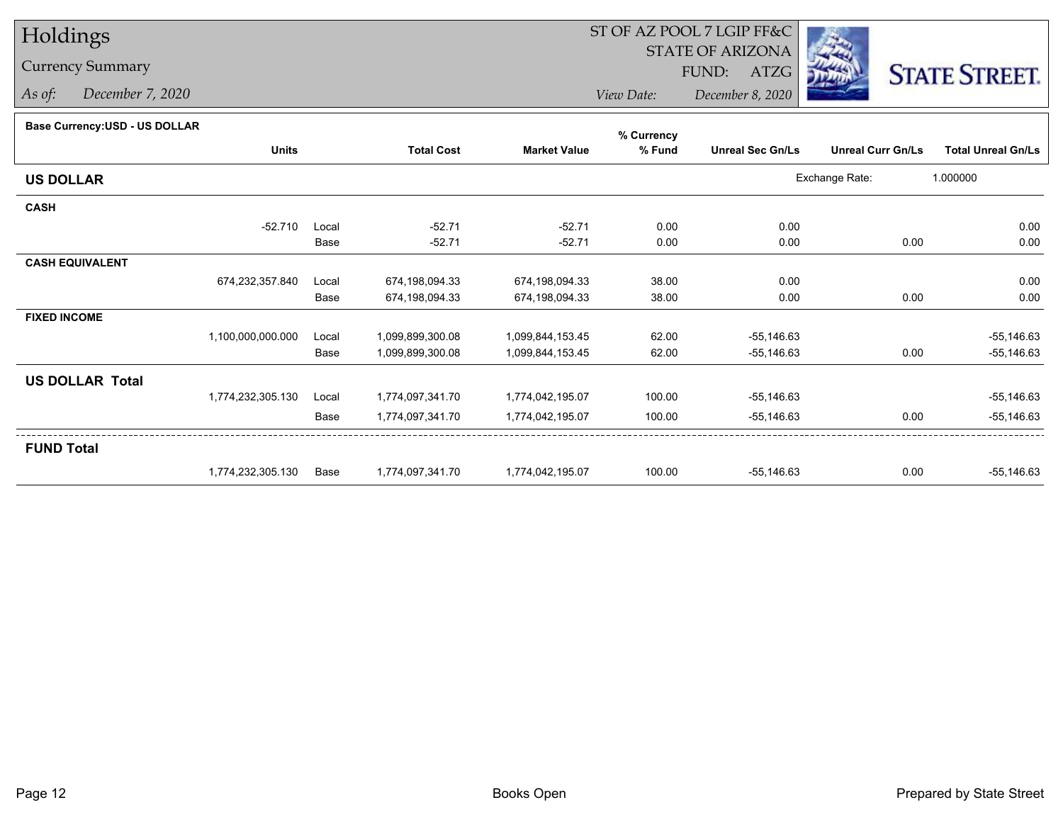# Holdings

### Currency Summary

*As of: December 7, 2020*

## ST OF AZ POOL 7 LGIP FF&C

STATE OF ARIZONA

FUND: ATZG



*View Date:December 8, 2020*

#### **Base Currency:USD - US DOLLAR**

|                        |                   |       |                   |                     | % Currency |                         |                          |                           |  |
|------------------------|-------------------|-------|-------------------|---------------------|------------|-------------------------|--------------------------|---------------------------|--|
|                        | <b>Units</b>      |       | <b>Total Cost</b> | <b>Market Value</b> | % Fund     | <b>Unreal Sec Gn/Ls</b> | <b>Unreal Curr Gn/Ls</b> | <b>Total Unreal Gn/Ls</b> |  |
| <b>US DOLLAR</b>       |                   |       |                   |                     |            |                         | Exchange Rate:           | 1.000000                  |  |
| <b>CASH</b>            |                   |       |                   |                     |            |                         |                          |                           |  |
|                        | $-52.710$         | Local | $-52.71$          | $-52.71$            | 0.00       | 0.00                    |                          | 0.00                      |  |
|                        |                   | Base  | $-52.71$          | $-52.71$            | 0.00       | 0.00                    | 0.00                     | 0.00                      |  |
| <b>CASH EQUIVALENT</b> |                   |       |                   |                     |            |                         |                          |                           |  |
|                        | 674,232,357.840   | Local | 674,198,094.33    | 674,198,094.33      | 38.00      | 0.00                    |                          | 0.00                      |  |
|                        |                   | Base  | 674,198,094.33    | 674,198,094.33      | 38.00      | 0.00                    | 0.00                     | 0.00                      |  |
| <b>FIXED INCOME</b>    |                   |       |                   |                     |            |                         |                          |                           |  |
|                        | 1,100,000,000.000 | Local | 1,099,899,300.08  | 1,099,844,153.45    | 62.00      | $-55,146.63$            |                          | $-55,146.63$              |  |
|                        |                   | Base  | 1,099,899,300.08  | 1,099,844,153.45    | 62.00      | $-55,146.63$            | 0.00                     | $-55,146.63$              |  |
| <b>US DOLLAR Total</b> |                   |       |                   |                     |            |                         |                          |                           |  |
|                        | 1,774,232,305.130 | Local | 1,774,097,341.70  | 1,774,042,195.07    | 100.00     | $-55,146.63$            |                          | $-55,146.63$              |  |
|                        |                   | Base  | 1,774,097,341.70  | 1,774,042,195.07    | 100.00     | $-55,146.63$            | 0.00                     | $-55,146.63$              |  |
| <b>FUND Total</b>      |                   |       |                   |                     |            |                         |                          |                           |  |
|                        | 1,774,232,305.130 | Base  | 1,774,097,341.70  | 1,774,042,195.07    | 100.00     | $-55,146.63$            | 0.00                     | $-55,146.63$              |  |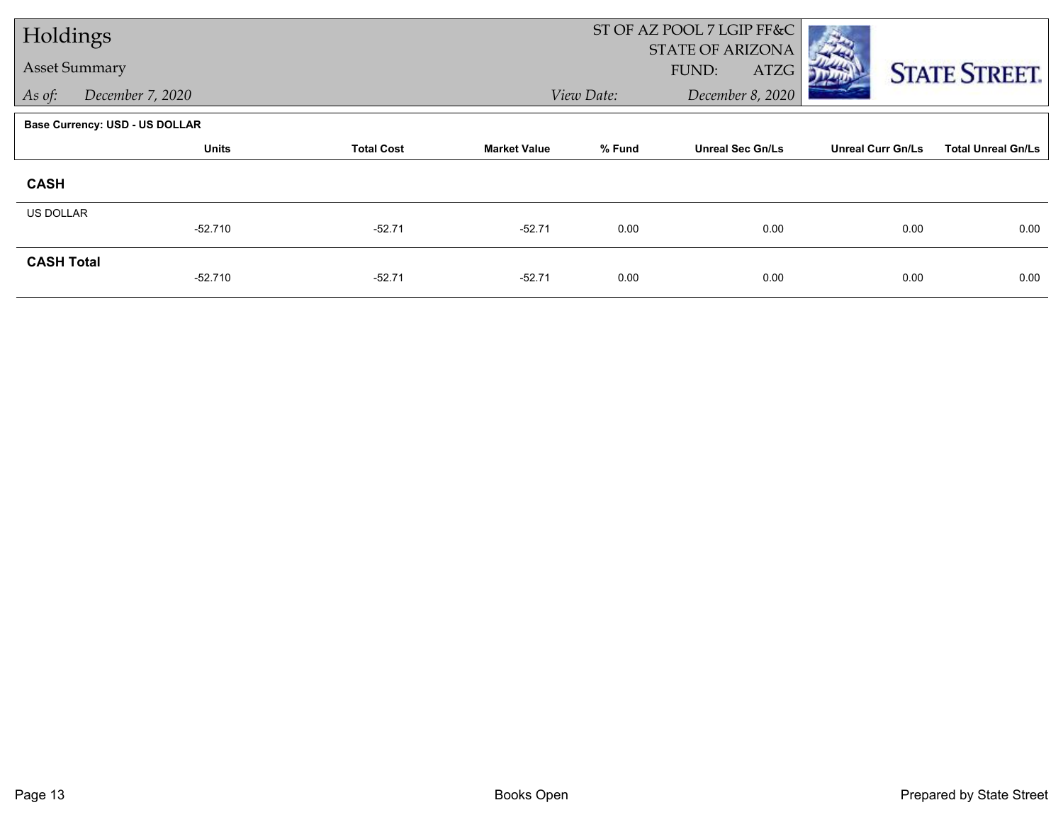| Holdings             |                                       |                   |                     |                                | ST OF AZ POOL 7 LGIP FF&C                |                          |                           |  |
|----------------------|---------------------------------------|-------------------|---------------------|--------------------------------|------------------------------------------|--------------------------|---------------------------|--|
| <b>Asset Summary</b> |                                       |                   |                     |                                | <b>STATE OF ARIZONA</b><br>FUND:<br>ATZG |                          | <b>STATE STREET.</b>      |  |
| As of:               | December 7, 2020                      |                   |                     | View Date:<br>December 8, 2020 |                                          |                          |                           |  |
|                      | <b>Base Currency: USD - US DOLLAR</b> |                   |                     |                                |                                          |                          |                           |  |
|                      | <b>Units</b>                          | <b>Total Cost</b> | <b>Market Value</b> | % Fund                         | <b>Unreal Sec Gn/Ls</b>                  | <b>Unreal Curr Gn/Ls</b> | <b>Total Unreal Gn/Ls</b> |  |
| <b>CASH</b>          |                                       |                   |                     |                                |                                          |                          |                           |  |
| <b>US DOLLAR</b>     |                                       |                   |                     |                                |                                          |                          |                           |  |
|                      | $-52.710$                             | $-52.71$          | $-52.71$            | 0.00                           | 0.00                                     | 0.00                     | 0.00                      |  |
| <b>CASH Total</b>    | $-52.710$                             | $-52.71$          | $-52.71$            | 0.00                           | 0.00                                     | 0.00                     | 0.00                      |  |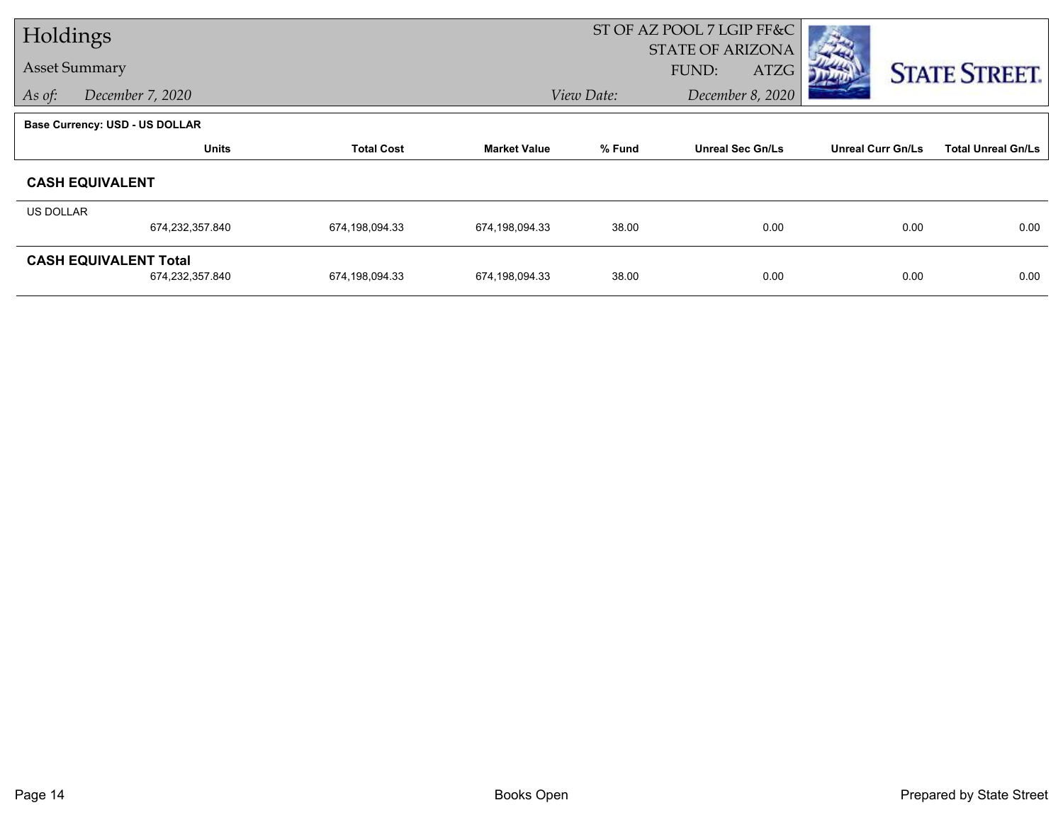| Holdings                   |                                                 |                   |                     |                                | ST OF AZ POOL 7 LGIP FF&C                |                          |                           |
|----------------------------|-------------------------------------------------|-------------------|---------------------|--------------------------------|------------------------------------------|--------------------------|---------------------------|
|                            | <b>Asset Summary</b>                            |                   |                     |                                | <b>STATE OF ARIZONA</b><br>FUND:<br>ATZG |                          | <b>STATE STREET.</b>      |
| December 7, 2020<br>As of: |                                                 |                   |                     | View Date:<br>December 8, 2020 |                                          |                          |                           |
|                            | <b>Base Currency: USD - US DOLLAR</b>           |                   |                     |                                |                                          |                          |                           |
|                            | <b>Units</b>                                    | <b>Total Cost</b> | <b>Market Value</b> | % Fund                         | <b>Unreal Sec Gn/Ls</b>                  | <b>Unreal Curr Gn/Ls</b> | <b>Total Unreal Gn/Ls</b> |
|                            | <b>CASH EQUIVALENT</b>                          |                   |                     |                                |                                          |                          |                           |
| US DOLLAR                  |                                                 |                   |                     |                                |                                          |                          |                           |
|                            | 674,232,357.840                                 | 674,198,094.33    | 674,198,094.33      | 38.00                          | 0.00                                     | 0.00                     | 0.00                      |
|                            | <b>CASH EQUIVALENT Total</b><br>674,232,357.840 | 674,198,094.33    | 674,198,094.33      | 38.00                          | 0.00                                     | 0.00                     | 0.00                      |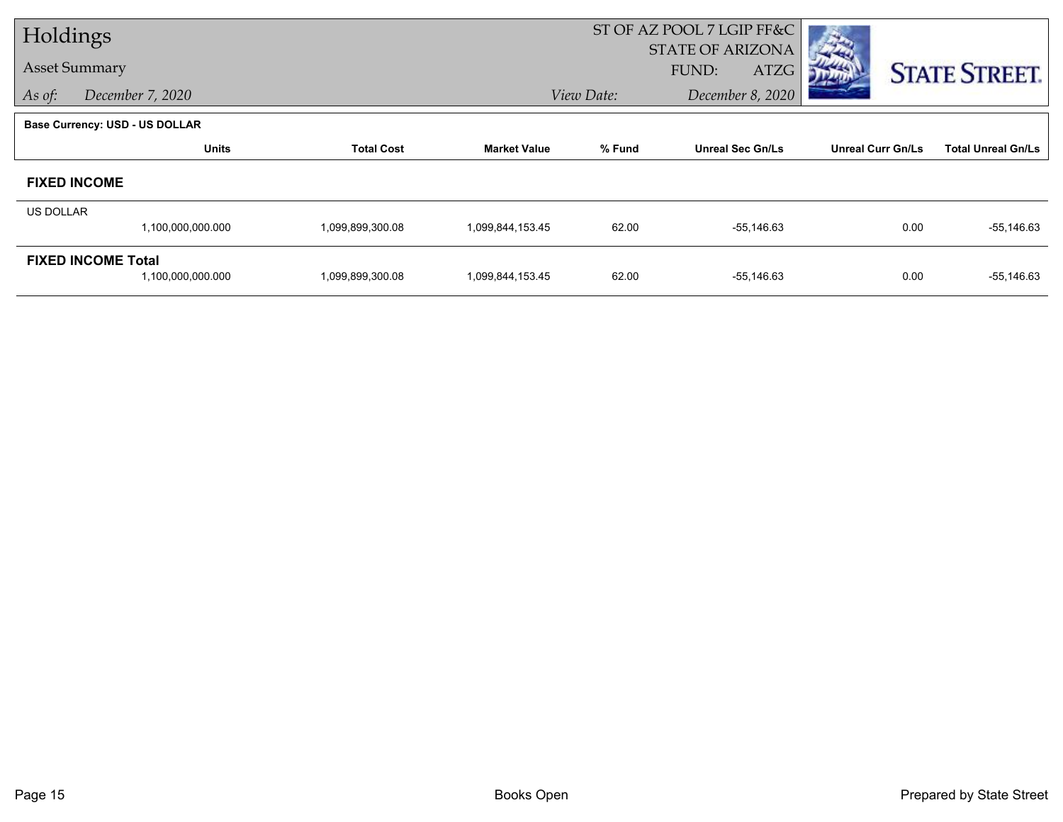| Holdings         |                                       |                   |                     |            | ST OF AZ POOL 7 LGIP FF&C                |                          |                           |
|------------------|---------------------------------------|-------------------|---------------------|------------|------------------------------------------|--------------------------|---------------------------|
|                  | <b>Asset Summary</b>                  |                   |                     |            | <b>STATE OF ARIZONA</b><br>FUND:<br>ATZG |                          |                           |
| As of:           | December 7, 2020                      |                   |                     | View Date: | December 8, 2020                         |                          | <b>STATE STREET.</b>      |
|                  |                                       |                   |                     |            |                                          |                          |                           |
|                  | <b>Base Currency: USD - US DOLLAR</b> |                   |                     |            |                                          |                          |                           |
|                  | <b>Units</b>                          | <b>Total Cost</b> | <b>Market Value</b> | % Fund     | <b>Unreal Sec Gn/Ls</b>                  | <b>Unreal Curr Gn/Ls</b> | <b>Total Unreal Gn/Ls</b> |
|                  | <b>FIXED INCOME</b>                   |                   |                     |            |                                          |                          |                           |
| <b>US DOLLAR</b> |                                       |                   |                     |            |                                          |                          |                           |
|                  | 1,100,000,000.000                     | 1,099,899,300.08  | 1,099,844,153.45    | 62.00      | $-55,146.63$                             | 0.00                     | $-55,146.63$              |
|                  | <b>FIXED INCOME Total</b>             |                   |                     |            |                                          |                          |                           |
|                  | 1,100,000,000.000                     | 1,099,899,300.08  | 1,099,844,153.45    | 62.00      | $-55,146.63$                             | 0.00                     | $-55,146.63$              |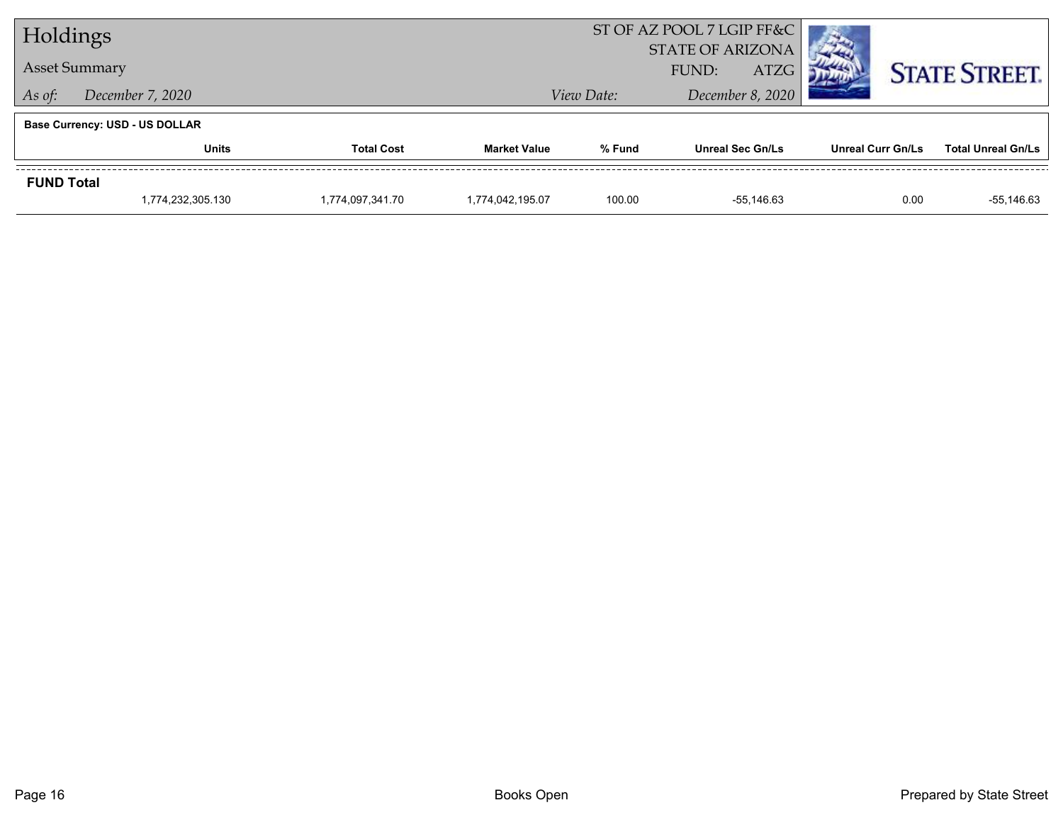| Holdings                          |                                       |                  | ST OF AZ POOL 7 LGIP FF&C                |                                |                         |                          |                           |
|-----------------------------------|---------------------------------------|------------------|------------------------------------------|--------------------------------|-------------------------|--------------------------|---------------------------|
|                                   | <b>Asset Summary</b>                  |                  | <b>STATE OF ARIZONA</b><br>ATZG<br>FUND: |                                |                         | <b>STATE STREET.</b>     |                           |
| December 7, 2020<br>As of:        |                                       |                  |                                          | December 8, 2020<br>View Date: |                         |                          |                           |
|                                   | <b>Base Currency: USD - US DOLLAR</b> |                  |                                          |                                |                         |                          |                           |
| <b>Units</b><br><b>Total Cost</b> |                                       |                  | <b>Market Value</b>                      | % Fund                         | <b>Unreal Sec Gn/Ls</b> | <b>Unreal Curr Gn/Ls</b> | <b>Total Unreal Gn/Ls</b> |
| <b>FUND Total</b>                 |                                       |                  |                                          |                                |                         |                          |                           |
|                                   | 1,774,232,305.130                     | 1,774,097,341.70 | 1.774.042.195.07                         | 100.00                         | -55.146.63              | 0.00                     | $-55,146.63$              |